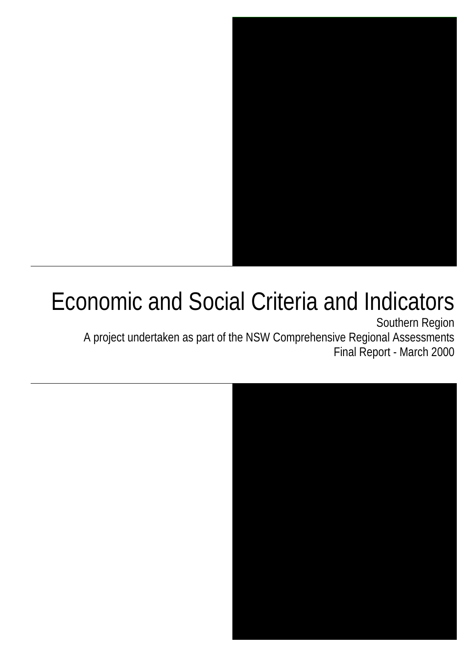

# Economic and Social Criteria and Indicators

Southern Region A project undertaken as part of the NSW Comprehensive Regional Assessments Final Report - March 2000

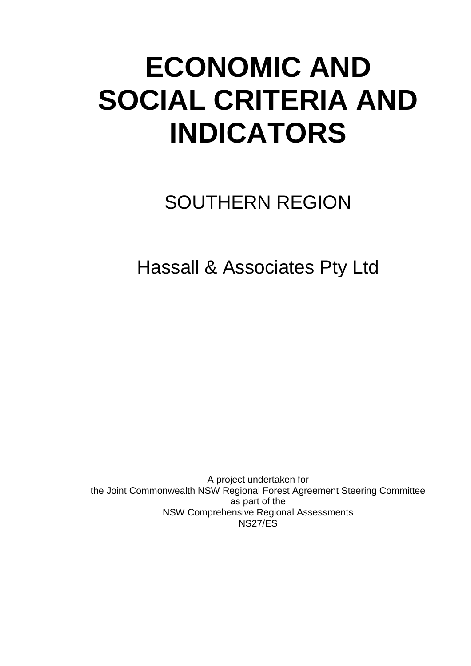# **ECONOMIC AND SOCIAL CRITERIA AND INDICATORS**

# SOUTHERN REGION

Hassall & Associates Pty Ltd

A project undertaken for the Joint Commonwealth NSW Regional Forest Agreement Steering Committee as part of the NSW Comprehensive Regional Assessments NS27/ES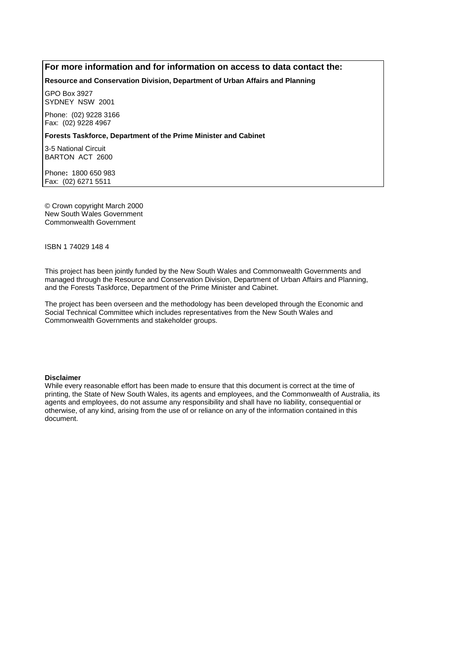#### **For more information and for information on access to data contact the:**

#### **Resource and Conservation Division, Department of Urban Affairs and Planning**

GPO Box 3927 SYDNEY NSW 2001

Phone: (02) 9228 3166 Fax: (02) 9228 4967

#### **Forests Taskforce, Department of the Prime Minister and Cabinet**

3-5 National Circuit BARTON ACT 2600

Phone**:** 1800 650 983 Fax: (02) 6271 5511

© Crown copyright March 2000 New South Wales Government Commonwealth Government

ISBN 1 74029 148 4

This project has been jointly funded by the New South Wales and Commonwealth Governments and managed through the Resource and Conservation Division, Department of Urban Affairs and Planning, and the Forests Taskforce, Department of the Prime Minister and Cabinet.

The project has been overseen and the methodology has been developed through the Economic and Social Technical Committee which includes representatives from the New South Wales and Commonwealth Governments and stakeholder groups.

#### **Disclaimer**

While every reasonable effort has been made to ensure that this document is correct at the time of printing, the State of New South Wales, its agents and employees, and the Commonwealth of Australia, its agents and employees, do not assume any responsibility and shall have no liability, consequential or otherwise, of any kind, arising from the use of or reliance on any of the information contained in this document.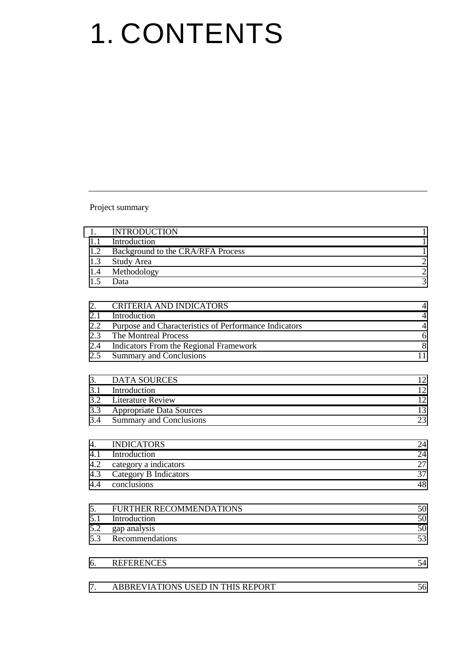# 1. CONTENTS

Project summary

| 1.         | <b>INTRODUCTION</b>                                   | $\mathbf{1}$                              |
|------------|-------------------------------------------------------|-------------------------------------------|
| 1.1        | Introduction                                          | $\mathbf{1}$                              |
| 1.2        | Background to the CRA/RFA Process                     | $\mathbf{1}$                              |
| 1.3        | Study Area                                            | $\overline{\mathbf{c}}$<br>$\overline{c}$ |
| 1.4<br>1.5 | Methodology                                           | 3                                         |
|            | Data                                                  |                                           |
| 2.         | <b>CRITERIA AND INDICATORS</b>                        | $\overline{4}$                            |
| 2.1        | Introduction                                          | $\overline{4}$                            |
| 2.2        | Purpose and Characteristics of Performance Indicators | $\overline{4}$                            |
| 2.3        | The Montreal Process                                  | 6                                         |
| 2.4        | Indicators From the Regional Framework                | 8                                         |
| 2.5        | <b>Summary and Conclusions</b>                        | 11                                        |
| 3.         | <b>DATA SOURCES</b>                                   | 12                                        |
| 3.1        | Introduction                                          | 12                                        |
| 3.2        | <b>Literature Review</b>                              | 12                                        |
| 3.3        | <b>Appropriate Data Sources</b>                       | 13                                        |
| 3.4        | <b>Summary and Conclusions</b>                        | 23                                        |
| 4.         | <b>INDICATORS</b>                                     | 24                                        |
| 4.1        | Introduction                                          | 24                                        |
| 4.2        | category a indicators                                 | 27                                        |
| 4.3        | Category B Indicators                                 | 37                                        |
| 4.4        | conclusions                                           | 48                                        |
| 5.         | FURTHER RECOMMENDATIONS                               | 50                                        |
| 5.1        | Introduction                                          | 50                                        |
| 5.2        | gap analysis                                          | 50                                        |
| 5.3        | Recommendations                                       | 53                                        |
| 6.         | <b>REFERENCES</b>                                     | 54                                        |
| 7.         | ABBREVIATIONS USED IN THIS REPORT                     | 56                                        |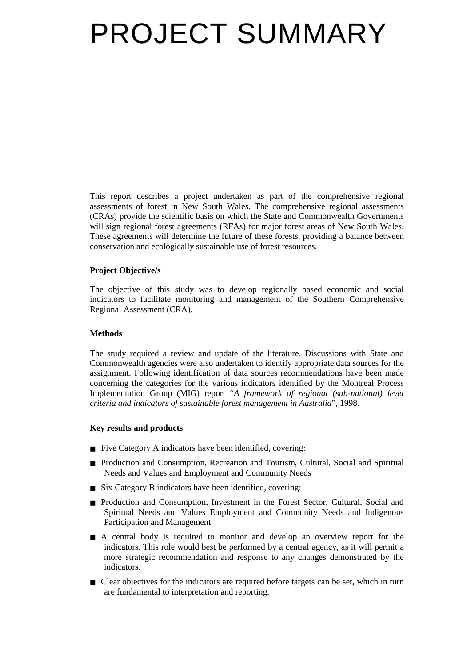# PROJECT SUMMARY

This report describes a project undertaken as part of the comprehensive regional assessments of forest in New South Wales. The comprehensive regional assessments (CRAs) provide the scientific basis on which the State and Commonwealth Governments will sign regional forest agreements (RFAs) for major forest areas of New South Wales. These agreements will determine the future of these forests, providing a balance between conservation and ecologically sustainable use of forest resources.

#### **Project Objective/s**

The objective of this study was to develop regionally based economic and social indicators to facilitate monitoring and management of the Southern Comprehensive Regional Assessment (CRA).

#### **Methods**

The study required a review and update of the literature. Discussions with State and Commonwealth agencies were also undertaken to identify appropriate data sources for the assignment. Following identification of data sources recommendations have been made concerning the categories for the various indicators identified by the Montreal Process Implementation Group (MIG) report "*A framework of regional (sub-national) level criteria and indicators of sustainable forest management in Australia*", 1998.

#### **Key results and products**

- Five Category A indicators have been identified, covering:
- Production and Consumption, Recreation and Tourism, Cultural, Social and Spiritual Needs and Values and Employment and Community Needs
- Six Category B indicators have been identified, covering:
- Production and Consumption, Investment in the Forest Sector, Cultural, Social and Spiritual Needs and Values Employment and Community Needs and Indigenous Participation and Management
- A central body is required to monitor and develop an overview report for the indicators. This role would best be performed by a central agency, as it will permit a more strategic recommendation and response to any changes demonstrated by the indicators.
- Clear objectives for the indicators are required before targets can be set, which in turn are fundamental to interpretation and reporting.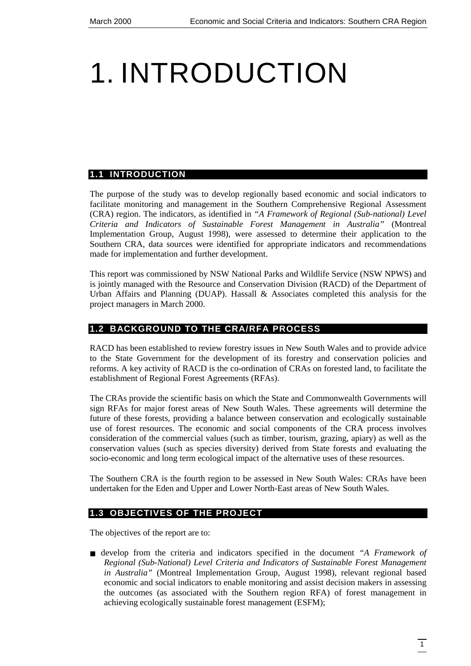# <span id="page-8-0"></span>1. INTRODUCTION

### **1.1 INTRODUCTION**

The purpose of the study was to develop regionally based economic and social indicators to facilitate monitoring and management in the Southern Comprehensive Regional Assessment (CRA) region. The indicators, as identified in *"A Framework of Regional (Sub-national) Level Criteria and Indicators of Sustainable Forest Management in Australia"* (Montreal Implementation Group, August 1998), were assessed to determine their application to the Southern CRA, data sources were identified for appropriate indicators and recommendations made for implementation and further development.

This report was commissioned by NSW National Parks and Wildlife Service (NSW NPWS) and is jointly managed with the Resource and Conservation Division (RACD) of the Department of Urban Affairs and Planning (DUAP). Hassall  $\&$  Associates completed this analysis for the project managers in March 2000.

### **1.2 BACKGROUND TO THE CRA/RFA PROCESS**

RACD has been established to review forestry issues in New South Wales and to provide advice to the State Government for the development of its forestry and conservation policies and reforms. A key activity of RACD is the co-ordination of CRAs on forested land, to facilitate the establishment of Regional Forest Agreements (RFAs).

The CRAs provide the scientific basis on which the State and Commonwealth Governments will sign RFAs for major forest areas of New South Wales. These agreements will determine the future of these forests, providing a balance between conservation and ecologically sustainable use of forest resources. The economic and social components of the CRA process involves consideration of the commercial values (such as timber, tourism, grazing, apiary) as well as the conservation values (such as species diversity) derived from State forests and evaluating the socio-economic and long term ecological impact of the alternative uses of these resources.

The Southern CRA is the fourth region to be assessed in New South Wales: CRAs have been undertaken for the Eden and Upper and Lower North-East areas of New South Wales.

#### **1.3 OBJECTIVES OF THE PROJECT**

The objectives of the report are to:

■ develop from the criteria and indicators specified in the document *"A Framework of Regional (Sub-National) Level Criteria and Indicators of Sustainable Forest Management in Australia"* (Montreal Implementation Group, August 1998), relevant regional based economic and social indicators to enable monitoring and assist decision makers in assessing the outcomes (as associated with the Southern region RFA) of forest management in achieving ecologically sustainable forest management (ESFM);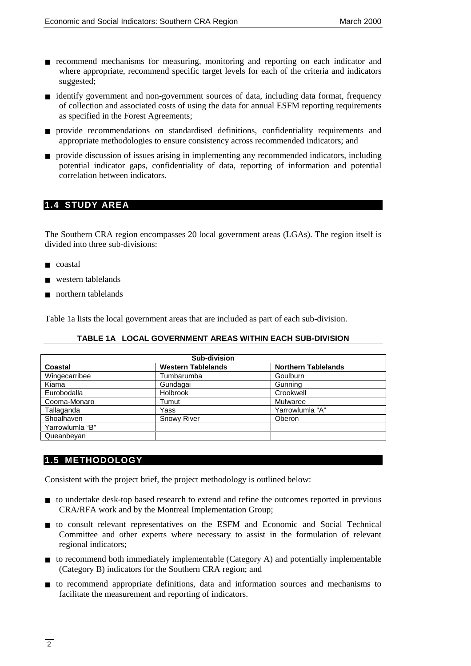- <span id="page-9-0"></span>■ recommend mechanisms for measuring, monitoring and reporting on each indicator and where appropriate, recommend specific target levels for each of the criteria and indicators suggested;
- identify government and non-government sources of data, including data format, frequency of collection and associated costs of using the data for annual ESFM reporting requirements as specified in the Forest Agreements;
- provide recommendations on standardised definitions, confidentiality requirements and appropriate methodologies to ensure consistency across recommended indicators; and
- provide discussion of issues arising in implementing any recommended indicators, including potential indicator gaps, confidentiality of data, reporting of information and potential correlation between indicators.

# **1.4 STUDY AREA**

The Southern CRA region encompasses 20 local government areas (LGAs). The region itself is divided into three sub-divisions:

- coastal
- western tablelands
- northern tablelands

Table 1a lists the local government areas that are included as part of each sub-division.

#### **TABLE 1A LOCAL GOVERNMENT AREAS WITHIN EACH SUB-DIVISION**

| Sub-division    |                           |                            |  |
|-----------------|---------------------------|----------------------------|--|
| Coastal         | <b>Western Tablelands</b> | <b>Northern Tablelands</b> |  |
| Wingecarribee   | Tumbarumba                | Goulburn                   |  |
| Kiama           | Gundagai                  | Gunning                    |  |
| Eurobodalla     | Holbrook                  | Crookwell                  |  |
| Cooma-Monaro    | Tumut                     | Mulwaree                   |  |
| Tallaganda      | Yass                      | Yarrowlumla "A"            |  |
| Shoalhaven      | <b>Snowy River</b>        | Oberon                     |  |
| Yarrowlumla "B" |                           |                            |  |
| Queanbeyan      |                           |                            |  |

# **1.5 METHODOLOGY**

Consistent with the project brief, the project methodology is outlined below:

- to undertake desk-top based research to extend and refine the outcomes reported in previous CRA/RFA work and by the Montreal Implementation Group;
- to consult relevant representatives on the ESFM and Economic and Social Technical Committee and other experts where necessary to assist in the formulation of relevant regional indicators;
- to recommend both immediately implementable (Category A) and potentially implementable (Category B) indicators for the Southern CRA region; and
- to recommend appropriate definitions, data and information sources and mechanisms to facilitate the measurement and reporting of indicators.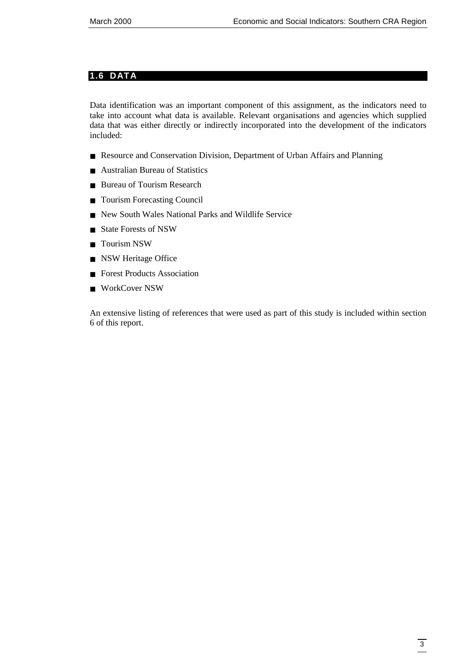### <span id="page-10-0"></span>**1.6 DATA**

Data identification was an important component of this assignment, as the indicators need to take into account what data is available. Relevant organisations and agencies which supplied data that was either directly or indirectly incorporated into the development of the indicators included:

- Resource and Conservation Division, Department of Urban Affairs and Planning
- Australian Bureau of Statistics
- Bureau of Tourism Research
- Tourism Forecasting Council
- New South Wales National Parks and Wildlife Service
- State Forests of NSW
- Tourism NSW
- NSW Heritage Office
- Forest Products Association
- WorkCover NSW

An extensive listing of references that were used as part of this study is included within section 6 of this report.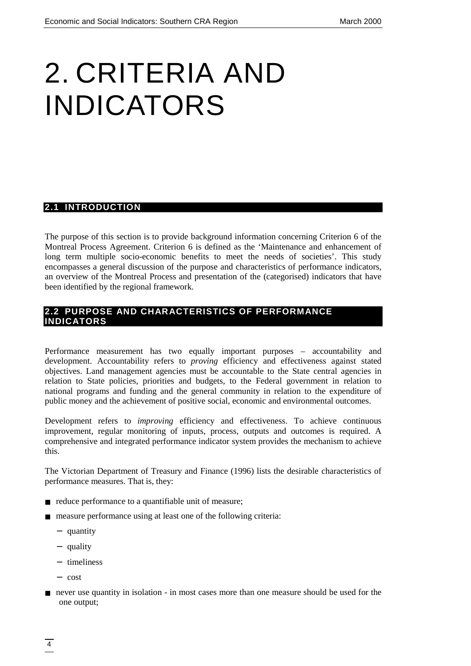# <span id="page-11-0"></span>2. CRITERIA AND INDICATORS

### **2.1 INTRODUCTION**

The purpose of this section is to provide background information concerning Criterion 6 of the Montreal Process Agreement. Criterion 6 is defined as the 'Maintenance and enhancement of long term multiple socio-economic benefits to meet the needs of societies'. This study encompasses a general discussion of the purpose and characteristics of performance indicators, an overview of the Montreal Process and presentation of the (categorised) indicators that have been identified by the regional framework.

# **2.2 PURPOSE AND CHARACTERISTICS OF PERFORMANCE INDICATORS**

Performance measurement has two equally important purposes – accountability and development. Accountability refers to *proving* efficiency and effectiveness against stated objectives. Land management agencies must be accountable to the State central agencies in relation to State policies, priorities and budgets, to the Federal government in relation to national programs and funding and the general community in relation to the expenditure of public money and the achievement of positive social, economic and environmental outcomes.

Development refers to *improving* efficiency and effectiveness. To achieve continuous improvement, regular monitoring of inputs, process, outputs and outcomes is required. A comprehensive and integrated performance indicator system provides the mechanism to achieve this.

The Victorian Department of Treasury and Finance (1996) lists the desirable characteristics of performance measures. That is, they:

- reduce performance to a quantifiable unit of measure;
- measure performance using at least one of the following criteria:
	- − quantity
	- − quality
	- − timeliness
	- − cost
- never use quantity in isolation in most cases more than one measure should be used for the one output;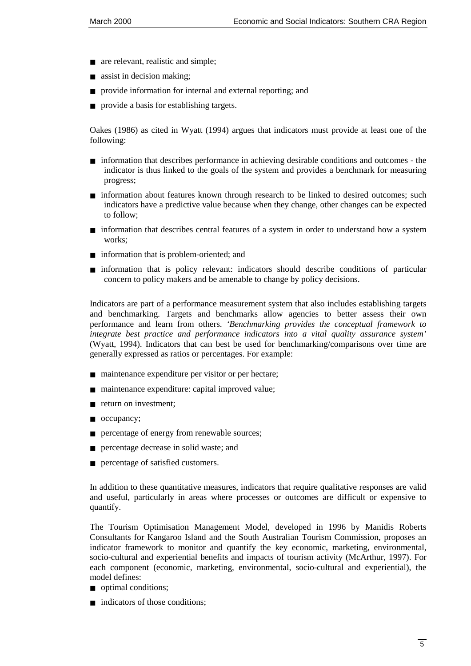- are relevant, realistic and simple;
- assist in decision making;
- provide information for internal and external reporting; and
- provide a basis for establishing targets.

Oakes (1986) as cited in Wyatt (1994) argues that indicators must provide at least one of the following:

- information that describes performance in achieving desirable conditions and outcomes the indicator is thus linked to the goals of the system and provides a benchmark for measuring progress;
- information about features known through research to be linked to desired outcomes; such indicators have a predictive value because when they change, other changes can be expected to follow;
- information that describes central features of a system in order to understand how a system works;
- information that is problem-oriented; and
- information that is policy relevant: indicators should describe conditions of particular concern to policy makers and be amenable to change by policy decisions.

Indicators are part of a performance measurement system that also includes establishing targets and benchmarking. Targets and benchmarks allow agencies to better assess their own performance and learn from others. *'Benchmarking provides the conceptual framework to integrate best practice and performance indicators into a vital quality assurance system'* (Wyatt, 1994). Indicators that can best be used for benchmarking/comparisons over time are generally expressed as ratios or percentages. For example:

- maintenance expenditure per visitor or per hectare;
- maintenance expenditure: capital improved value;
- return on investment;
- occupancy;
- percentage of energy from renewable sources;
- percentage decrease in solid waste; and
- percentage of satisfied customers.

In addition to these quantitative measures, indicators that require qualitative responses are valid and useful, particularly in areas where processes or outcomes are difficult or expensive to quantify.

The Tourism Optimisation Management Model, developed in 1996 by Manidis Roberts Consultants for Kangaroo Island and the South Australian Tourism Commission, proposes an indicator framework to monitor and quantify the key economic, marketing, environmental, socio-cultural and experiential benefits and impacts of tourism activity (McArthur, 1997). For each component (economic, marketing, environmental, socio-cultural and experiential), the model defines:

- optimal conditions;
- indicators of those conditions: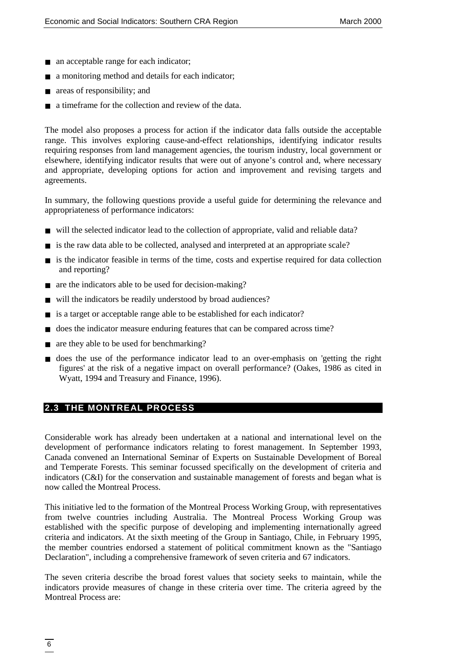- <span id="page-13-0"></span>■ an acceptable range for each indicator;
- a monitoring method and details for each indicator;
- areas of responsibility; and
- a time frame for the collection and review of the data.

The model also proposes a process for action if the indicator data falls outside the acceptable range. This involves exploring cause-and-effect relationships, identifying indicator results requiring responses from land management agencies, the tourism industry, local government or elsewhere, identifying indicator results that were out of anyone's control and, where necessary and appropriate, developing options for action and improvement and revising targets and agreements.

In summary, the following questions provide a useful guide for determining the relevance and appropriateness of performance indicators:

- will the selected indicator lead to the collection of appropriate, valid and reliable data?
- is the raw data able to be collected, analysed and interpreted at an appropriate scale?
- is the indicator feasible in terms of the time, costs and expertise required for data collection and reporting?
- are the indicators able to be used for decision-making?
- will the indicators be readily understood by broad audiences?
- is a target or acceptable range able to be established for each indicator?
- does the indicator measure enduring features that can be compared across time?
- are they able to be used for benchmarking?
- does the use of the performance indicator lead to an over-emphasis on 'getting the right figures' at the risk of a negative impact on overall performance? (Oakes, 1986 as cited in Wyatt, 1994 and Treasury and Finance, 1996).

# **2.3 THE MONTREAL PROCESS**

Considerable work has already been undertaken at a national and international level on the development of performance indicators relating to forest management. In September 1993, Canada convened an International Seminar of Experts on Sustainable Development of Boreal and Temperate Forests. This seminar focussed specifically on the development of criteria and indicators (C&I) for the conservation and sustainable management of forests and began what is now called the Montreal Process.

This initiative led to the formation of the Montreal Process Working Group, with representatives from twelve countries including Australia. The Montreal Process Working Group was established with the specific purpose of developing and implementing internationally agreed criteria and indicators. At the sixth meeting of the Group in Santiago, Chile, in February 1995, the member countries endorsed a statement of political commitment known as the "Santiago Declaration", including a comprehensive framework of seven criteria and 67 indicators.

The seven criteria describe the broad forest values that society seeks to maintain, while the indicators provide measures of change in these criteria over time. The criteria agreed by the Montreal Process are: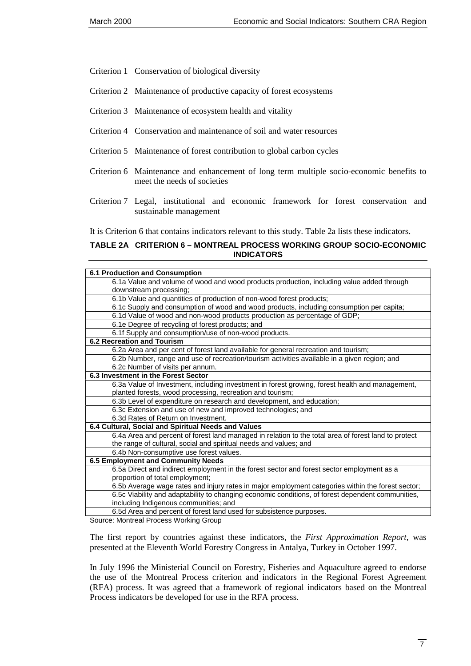- Criterion 1 Conservation of biological diversity
- Criterion 2 Maintenance of productive capacity of forest ecosystems
- Criterion 3 Maintenance of ecosystem health and vitality
- Criterion 4 Conservation and maintenance of soil and water resources
- Criterion 5 Maintenance of forest contribution to global carbon cycles
- Criterion 6 Maintenance and enhancement of long term multiple socio-economic benefits to meet the needs of societies
- Criterion 7 Legal, institutional and economic framework for forest conservation and sustainable management

It is Criterion 6 that contains indicators relevant to this study. Table 2a lists these indicators.

#### **TABLE 2A CRITERION 6 – MONTREAL PROCESS WORKING GROUP SOCIO-ECONOMIC INDICATORS**

| <b>6.1 Production and Consumption</b>                                                                |
|------------------------------------------------------------------------------------------------------|
| 6.1a Value and volume of wood and wood products production, including value added through            |
| downstream processing;                                                                               |
| 6.1b Value and quantities of production of non-wood forest products;                                 |
| 6.1c Supply and consumption of wood and wood products, including consumption per capita;             |
| 6.1d Value of wood and non-wood products production as percentage of GDP;                            |
| 6.1e Degree of recycling of forest products; and                                                     |
| 6.1f Supply and consumption/use of non-wood products.                                                |
| <b>6.2 Recreation and Tourism</b>                                                                    |
| 6.2a Area and per cent of forest land available for general recreation and tourism;                  |
| 6.2b Number, range and use of recreation/tourism activities available in a given region; and         |
| 6.2c Number of visits per annum.                                                                     |
| 6.3 Investment in the Forest Sector                                                                  |
| 6.3a Value of Investment, including investment in forest growing, forest health and management,      |
| planted forests, wood processing, recreation and tourism;                                            |
| 6.3b Level of expenditure on research and development, and education;                                |
| 6.3c Extension and use of new and improved technologies; and                                         |
| 6.3d Rates of Return on Investment.                                                                  |
| 6.4 Cultural, Social and Spiritual Needs and Values                                                  |
| 6.4a Area and percent of forest land managed in relation to the total area of forest land to protect |
| the range of cultural, social and spiritual needs and values; and                                    |
| 6.4b Non-consumptive use forest values.                                                              |
| 6.5 Employment and Community Needs                                                                   |
| 6.5a Direct and indirect employment in the forest sector and forest sector employment as a           |
| proportion of total employment;                                                                      |
| 6.5b Average wage rates and injury rates in major employment categories within the forest sector;    |
| 6.5c Viability and adaptability to changing economic conditions, of forest dependent communities,    |
| including Indigenous communities; and                                                                |
| 6.5d Area and percent of forest land used for subsistence purposes.                                  |

Source: Montreal Process Working Group

The first report by countries against these indicators, the *First Approximation Report*, was presented at the Eleventh World Forestry Congress in Antalya, Turkey in October 1997.

In July 1996 the Ministerial Council on Forestry, Fisheries and Aquaculture agreed to endorse the use of the Montreal Process criterion and indicators in the Regional Forest Agreement (RFA) process. It was agreed that a framework of regional indicators based on the Montreal Process indicators be developed for use in the RFA process.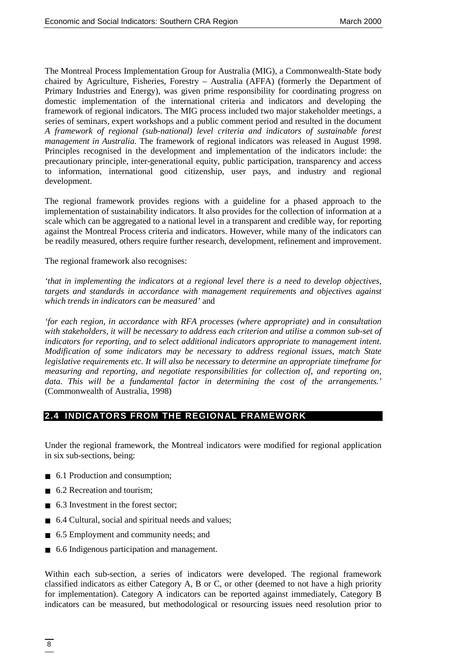<span id="page-15-0"></span>The Montreal Process Implementation Group for Australia (MIG), a Commonwealth-State body chaired by Agriculture, Fisheries, Forestry – Australia (AFFA) (formerly the Department of Primary Industries and Energy), was given prime responsibility for coordinating progress on domestic implementation of the international criteria and indicators and developing the framework of regional indicators. The MIG process included two major stakeholder meetings, a series of seminars, expert workshops and a public comment period and resulted in the document *A framework of regional (sub-national) level criteria and indicators of sustainable forest management in Australia.* The framework of regional indicators was released in August 1998. Principles recognised in the development and implementation of the indicators include: the precautionary principle, inter-generational equity, public participation, transparency and access to information, international good citizenship, user pays, and industry and regional development.

The regional framework provides regions with a guideline for a phased approach to the implementation of sustainability indicators. It also provides for the collection of information at a scale which can be aggregated to a national level in a transparent and credible way, for reporting against the Montreal Process criteria and indicators. However, while many of the indicators can be readily measured, others require further research, development, refinement and improvement.

The regional framework also recognises:

*'that in implementing the indicators at a regional level there is a need to develop objectives, targets and standards in accordance with management requirements and objectives against which trends in indicators can be measured'* and

*'for each region, in accordance with RFA processes (where appropriate) and in consultation with stakeholders, it will be necessary to address each criterion and utilise a common sub-set of indicators for reporting, and to select additional indicators appropriate to management intent. Modification of some indicators may be necessary to address regional issues, match State legislative requirements etc. It will also be necessary to determine an appropriate timeframe for measuring and reporting, and negotiate responsibilities for collection of, and reporting on, data. This will be a fundamental factor in determining the cost of the arrangements.'* (Commonwealth of Australia, 1998)

### **2.4 INDICATORS FROM THE REGIONAL FRAMEWORK**

Under the regional framework, the Montreal indicators were modified for regional application in six sub-sections, being:

- 6.1 Production and consumption;
- 6.2 Recreation and tourism:
- 6.3 Investment in the forest sector:
- 6.4 Cultural, social and spiritual needs and values;
- 6.5 Employment and community needs; and
- 6.6 Indigenous participation and management.

Within each sub-section, a series of indicators were developed. The regional framework classified indicators as either Category A, B or C, or other (deemed to not have a high priority for implementation). Category A indicators can be reported against immediately, Category B indicators can be measured, but methodological or resourcing issues need resolution prior to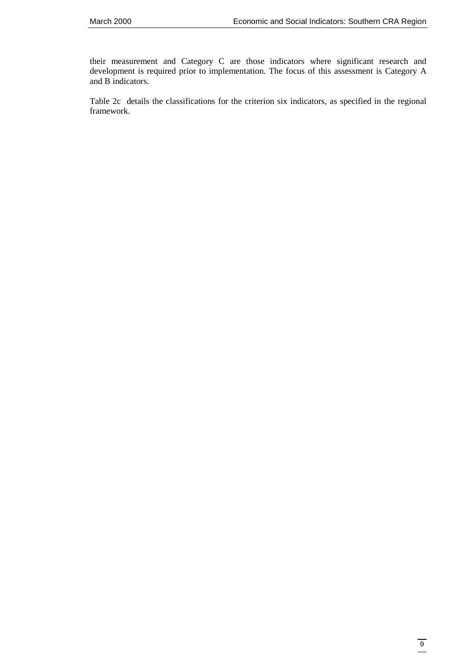their measurement and Category C are those indicators where significant research and development is required prior to implementation. The focus of this assessment is Category A and B indicators.

Table 2c details the classifications for the criterion six indicators, as specified in the regional framework.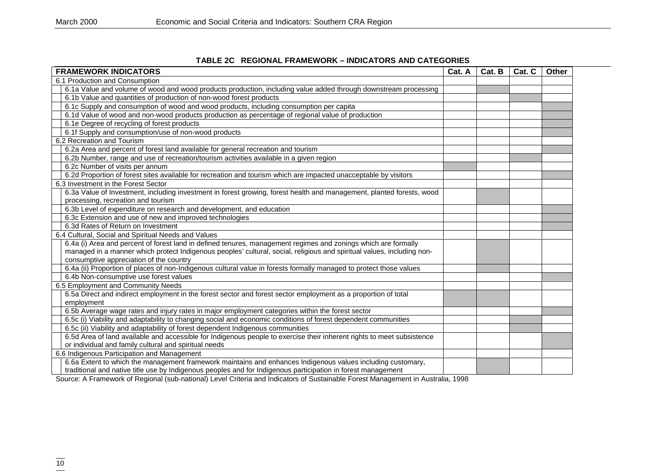#### **TABLE 2C REGIONAL FRAMEWORK – INDICATORS AND CATEGORIES**

| <b>FRAMEWORK INDICATORS</b><br>Cat. A                                                                                  |  |  | Cat. C | Other |
|------------------------------------------------------------------------------------------------------------------------|--|--|--------|-------|
| 6.1 Production and Consumption                                                                                         |  |  |        |       |
| 6.1a Value and volume of wood and wood products production, including value added through downstream processing        |  |  |        |       |
| 6.1b Value and quantities of production of non-wood forest products                                                    |  |  |        |       |
| 6.1c Supply and consumption of wood and wood products, including consumption per capita                                |  |  |        |       |
| 6.1d Value of wood and non-wood products production as percentage of regional value of production                      |  |  |        |       |
| 6.1e Degree of recycling of forest products                                                                            |  |  |        |       |
| 6.1f Supply and consumption/use of non-wood products                                                                   |  |  |        |       |
| 6.2 Recreation and Tourism                                                                                             |  |  |        |       |
| 6.2a Area and percent of forest land available for general recreation and tourism                                      |  |  |        |       |
| 6.2b Number, range and use of recreation/tourism activities available in a given region                                |  |  |        |       |
| 6.2c Number of visits per annum                                                                                        |  |  |        |       |
| 6.2d Proportion of forest sites available for recreation and tourism which are impacted unacceptable by visitors       |  |  |        |       |
| 6.3 Investment in the Forest Sector                                                                                    |  |  |        |       |
| 6.3a Value of Investment, including investment in forest growing, forest health and management, planted forests, wood  |  |  |        |       |
| processing, recreation and tourism                                                                                     |  |  |        |       |
| 6.3b Level of expenditure on research and development, and education                                                   |  |  |        |       |
| 6.3c Extension and use of new and improved technologies                                                                |  |  |        |       |
| 6.3d Rates of Return on Investment                                                                                     |  |  |        |       |
| 6.4 Cultural, Social and Spiritual Needs and Values                                                                    |  |  |        |       |
| 6.4a (i) Area and percent of forest land in defined tenures, management regimes and zonings which are formally         |  |  |        |       |
| managed in a manner which protect Indigenous peoples' cultural, social, religious and spiritual values, including non- |  |  |        |       |
| consumptive appreciation of the country                                                                                |  |  |        |       |
| 6.4a (ii) Proportion of places of non-Indigenous cultural value in forests formally managed to protect those values    |  |  |        |       |
| 6.4b Non-consumptive use forest values                                                                                 |  |  |        |       |
| 6.5 Employment and Community Needs                                                                                     |  |  |        |       |
| 6.5a Direct and indirect employment in the forest sector and forest sector employment as a proportion of total         |  |  |        |       |
| employment                                                                                                             |  |  |        |       |
| 6.5b Average wage rates and injury rates in major employment categories within the forest sector                       |  |  |        |       |
| 6.5c (i) Viability and adaptability to changing social and economic conditions of forest dependent communities         |  |  |        |       |
| 6.5c (ii) Viability and adaptability of forest dependent Indigenous communities                                        |  |  |        |       |
| 6.5d Area of land available and accessible for Indigenous people to exercise their inherent rights to meet subsistence |  |  |        |       |
| or individual and family cultural and spiritual needs                                                                  |  |  |        |       |
| 6.6 Indigenous Participation and Management                                                                            |  |  |        |       |
| 6.6a Extent to which the management framework maintains and enhances Indigenous values including customary,            |  |  |        |       |
| traditional and native title use by Indigenous peoples and for Indigenous participation in forest management           |  |  |        |       |

Source: A Framework of Regional (sub-national) Level Criteria and Indicators of Sustainable Forest Management in Australia, 1998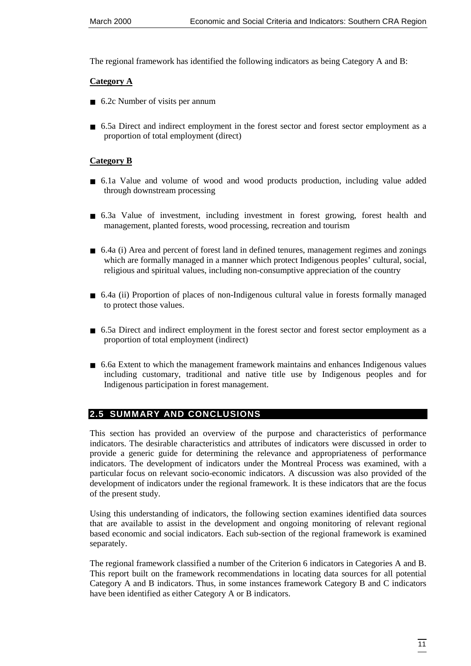<span id="page-18-0"></span>The regional framework has identified the following indicators as being Category A and B:

#### **Category A**

- 6.2c Number of visits per annum
- 6.5a Direct and indirect employment in the forest sector and forest sector employment as a proportion of total employment (direct)

#### **Category B**

- 6.1a Value and volume of wood and wood products production, including value added through downstream processing
- 6.3a Value of investment, including investment in forest growing, forest health and management, planted forests, wood processing, recreation and tourism
- 6.4a (i) Area and percent of forest land in defined tenures, management regimes and zonings which are formally managed in a manner which protect Indigenous peoples' cultural, social, religious and spiritual values, including non-consumptive appreciation of the country
- 6.4a (ii) Proportion of places of non-Indigenous cultural value in forests formally managed to protect those values.
- 6.5a Direct and indirect employment in the forest sector and forest sector employment as a proportion of total employment (indirect)
- 6.6a Extent to which the management framework maintains and enhances Indigenous values including customary, traditional and native title use by Indigenous peoples and for Indigenous participation in forest management.

# **2.5 SUMMARY AND CONCLUSIONS**

This section has provided an overview of the purpose and characteristics of performance indicators. The desirable characteristics and attributes of indicators were discussed in order to provide a generic guide for determining the relevance and appropriateness of performance indicators. The development of indicators under the Montreal Process was examined, with a particular focus on relevant socio-economic indicators. A discussion was also provided of the development of indicators under the regional framework. It is these indicators that are the focus of the present study.

Using this understanding of indicators, the following section examines identified data sources that are available to assist in the development and ongoing monitoring of relevant regional based economic and social indicators. Each sub-section of the regional framework is examined separately.

The regional framework classified a number of the Criterion 6 indicators in Categories A and B. This report built on the framework recommendations in locating data sources for all potential Category A and B indicators. Thus, in some instances framework Category B and C indicators have been identified as either Category A or B indicators.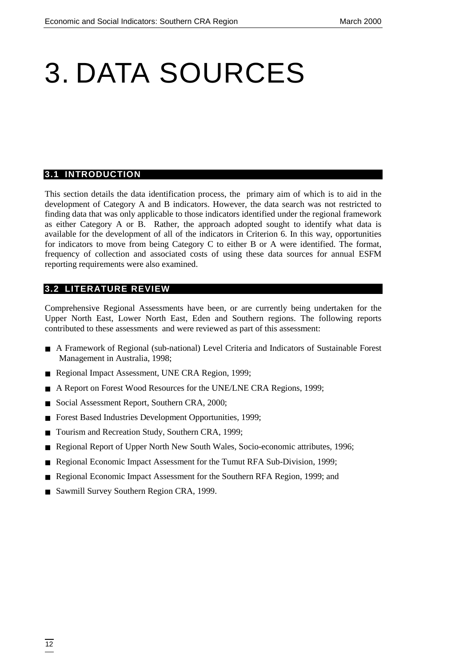# <span id="page-19-0"></span>3. DATA SOURCES

#### **3.1 INTRODUCTION**

This section details the data identification process, the primary aim of which is to aid in the development of Category A and B indicators. However, the data search was not restricted to finding data that was only applicable to those indicators identified under the regional framework as either Category A or B. Rather, the approach adopted sought to identify what data is available for the development of all of the indicators in Criterion 6. In this way, opportunities for indicators to move from being Category C to either B or A were identified. The format, frequency of collection and associated costs of using these data sources for annual ESFM reporting requirements were also examined.

#### **3.2 LITERATURE REVIEW**

Comprehensive Regional Assessments have been, or are currently being undertaken for the Upper North East, Lower North East, Eden and Southern regions. The following reports contributed to these assessments and were reviewed as part of this assessment:

- A Framework of Regional (sub-national) Level Criteria and Indicators of Sustainable Forest Management in Australia, 1998;
- Regional Impact Assessment, UNE CRA Region, 1999;
- A Report on Forest Wood Resources for the UNE/LNE CRA Regions, 1999;
- Social Assessment Report, Southern CRA, 2000;
- Forest Based Industries Development Opportunities, 1999;
- Tourism and Recreation Study, Southern CRA, 1999;
- Regional Report of Upper North New South Wales, Socio-economic attributes, 1996;
- Regional Economic Impact Assessment for the Tumut RFA Sub-Division, 1999;
- Regional Economic Impact Assessment for the Southern RFA Region, 1999; and
- Sawmill Survey Southern Region CRA, 1999.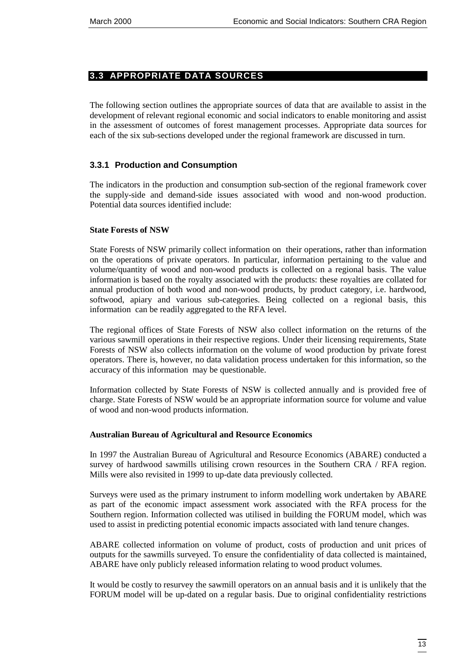# <span id="page-20-0"></span>**3.3 APPROPRIATE DATA SOURCES**

The following section outlines the appropriate sources of data that are available to assist in the development of relevant regional economic and social indicators to enable monitoring and assist in the assessment of outcomes of forest management processes. Appropriate data sources for each of the six sub-sections developed under the regional framework are discussed in turn.

# **3.3.1 Production and Consumption**

The indicators in the production and consumption sub-section of the regional framework cover the supply-side and demand-side issues associated with wood and non-wood production. Potential data sources identified include:

#### **State Forests of NSW**

State Forests of NSW primarily collect information on their operations, rather than information on the operations of private operators. In particular, information pertaining to the value and volume/quantity of wood and non-wood products is collected on a regional basis. The value information is based on the royalty associated with the products: these royalties are collated for annual production of both wood and non-wood products, by product category, i.e. hardwood, softwood, apiary and various sub-categories. Being collected on a regional basis, this information can be readily aggregated to the RFA level.

The regional offices of State Forests of NSW also collect information on the returns of the various sawmill operations in their respective regions. Under their licensing requirements, State Forests of NSW also collects information on the volume of wood production by private forest operators. There is, however, no data validation process undertaken for this information, so the accuracy of this information may be questionable.

Information collected by State Forests of NSW is collected annually and is provided free of charge. State Forests of NSW would be an appropriate information source for volume and value of wood and non-wood products information.

#### **Australian Bureau of Agricultural and Resource Economics**

In 1997 the Australian Bureau of Agricultural and Resource Economics (ABARE) conducted a survey of hardwood sawmills utilising crown resources in the Southern CRA / RFA region. Mills were also revisited in 1999 to up-date data previously collected.

Surveys were used as the primary instrument to inform modelling work undertaken by ABARE as part of the economic impact assessment work associated with the RFA process for the Southern region. Information collected was utilised in building the FORUM model, which was used to assist in predicting potential economic impacts associated with land tenure changes.

ABARE collected information on volume of product, costs of production and unit prices of outputs for the sawmills surveyed. To ensure the confidentiality of data collected is maintained, ABARE have only publicly released information relating to wood product volumes.

It would be costly to resurvey the sawmill operators on an annual basis and it is unlikely that the FORUM model will be up-dated on a regular basis. Due to original confidentiality restrictions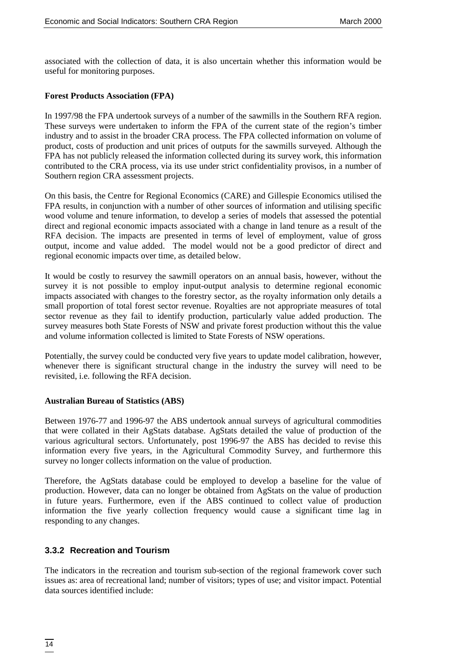associated with the collection of data, it is also uncertain whether this information would be useful for monitoring purposes.

#### **Forest Products Association (FPA)**

In 1997/98 the FPA undertook surveys of a number of the sawmills in the Southern RFA region. These surveys were undertaken to inform the FPA of the current state of the region's timber industry and to assist in the broader CRA process. The FPA collected information on volume of product, costs of production and unit prices of outputs for the sawmills surveyed. Although the FPA has not publicly released the information collected during its survey work, this information contributed to the CRA process, via its use under strict confidentiality provisos, in a number of Southern region CRA assessment projects.

On this basis, the Centre for Regional Economics (CARE) and Gillespie Economics utilised the FPA results, in conjunction with a number of other sources of information and utilising specific wood volume and tenure information, to develop a series of models that assessed the potential direct and regional economic impacts associated with a change in land tenure as a result of the RFA decision. The impacts are presented in terms of level of employment, value of gross output, income and value added. The model would not be a good predictor of direct and regional economic impacts over time, as detailed below.

It would be costly to resurvey the sawmill operators on an annual basis, however, without the survey it is not possible to employ input-output analysis to determine regional economic impacts associated with changes to the forestry sector, as the royalty information only details a small proportion of total forest sector revenue. Royalties are not appropriate measures of total sector revenue as they fail to identify production, particularly value added production. The survey measures both State Forests of NSW and private forest production without this the value and volume information collected is limited to State Forests of NSW operations.

Potentially, the survey could be conducted very five years to update model calibration, however, whenever there is significant structural change in the industry the survey will need to be revisited, i.e. following the RFA decision.

#### **Australian Bureau of Statistics (ABS)**

Between 1976-77 and 1996-97 the ABS undertook annual surveys of agricultural commodities that were collated in their AgStats database. AgStats detailed the value of production of the various agricultural sectors. Unfortunately, post 1996-97 the ABS has decided to revise this information every five years, in the Agricultural Commodity Survey, and furthermore this survey no longer collects information on the value of production.

Therefore, the AgStats database could be employed to develop a baseline for the value of production. However, data can no longer be obtained from AgStats on the value of production in future years. Furthermore, even if the ABS continued to collect value of production information the five yearly collection frequency would cause a significant time lag in responding to any changes.

#### **3.3.2 Recreation and Tourism**

The indicators in the recreation and tourism sub-section of the regional framework cover such issues as: area of recreational land; number of visitors; types of use; and visitor impact. Potential data sources identified include: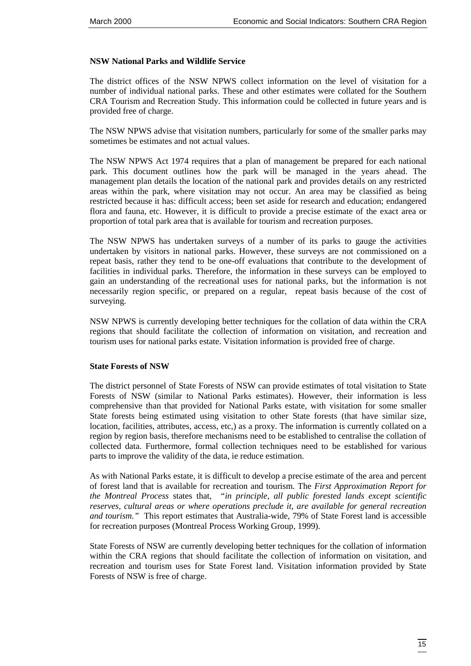#### **NSW National Parks and Wildlife Service**

The district offices of the NSW NPWS collect information on the level of visitation for a number of individual national parks. These and other estimates were collated for the Southern CRA Tourism and Recreation Study. This information could be collected in future years and is provided free of charge.

The NSW NPWS advise that visitation numbers, particularly for some of the smaller parks may sometimes be estimates and not actual values.

The NSW NPWS Act 1974 requires that a plan of management be prepared for each national park. This document outlines how the park will be managed in the years ahead. The management plan details the location of the national park and provides details on any restricted areas within the park, where visitation may not occur. An area may be classified as being restricted because it has: difficult access; been set aside for research and education; endangered flora and fauna, etc. However, it is difficult to provide a precise estimate of the exact area or proportion of total park area that is available for tourism and recreation purposes.

The NSW NPWS has undertaken surveys of a number of its parks to gauge the activities undertaken by visitors in national parks. However, these surveys are not commissioned on a repeat basis, rather they tend to be one-off evaluations that contribute to the development of facilities in individual parks. Therefore, the information in these surveys can be employed to gain an understanding of the recreational uses for national parks, but the information is not necessarily region specific, or prepared on a regular, repeat basis because of the cost of surveying.

NSW NPWS is currently developing better techniques for the collation of data within the CRA regions that should facilitate the collection of information on visitation, and recreation and tourism uses for national parks estate. Visitation information is provided free of charge.

#### **State Forests of NSW**

The district personnel of State Forests of NSW can provide estimates of total visitation to State Forests of NSW (similar to National Parks estimates). However, their information is less comprehensive than that provided for National Parks estate, with visitation for some smaller State forests being estimated using visitation to other State forests (that have similar size, location, facilities, attributes, access, etc,) as a proxy. The information is currently collated on a region by region basis, therefore mechanisms need to be established to centralise the collation of collected data. Furthermore, formal collection techniques need to be established for various parts to improve the validity of the data, ie reduce estimation.

As with National Parks estate, it is difficult to develop a precise estimate of the area and percent of forest land that is available for recreation and tourism. The *First Approximation Report for the Montreal Process* states that, *"in principle, all public forested lands except scientific reserves, cultural areas or where operations preclude it, are available for general recreation and tourism."* This report estimates that Australia-wide, 79% of State Forest land is accessible for recreation purposes (Montreal Process Working Group, 1999).

State Forests of NSW are currently developing better techniques for the collation of information within the CRA regions that should facilitate the collection of information on visitation, and recreation and tourism uses for State Forest land. Visitation information provided by State Forests of NSW is free of charge.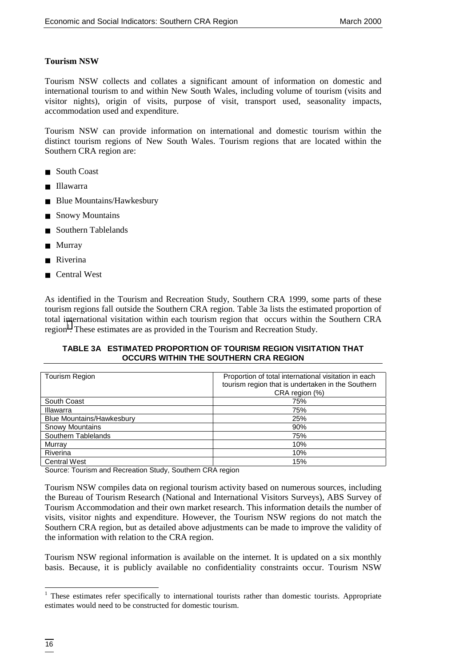### **Tourism NSW**

Tourism NSW collects and collates a significant amount of information on domestic and international tourism to and within New South Wales, including volume of tourism (visits and visitor nights), origin of visits, purpose of visit, transport used, seasonality impacts, accommodation used and expenditure.

Tourism NSW can provide information on international and domestic tourism within the distinct tourism regions of New South Wales. Tourism regions that are located within the Southern CRA region are:

- South Coast
- Illawarra
- Blue Mountains/Hawkesbury
- Snowy Mountains
- Southern Tablelands
- Murray
- Riverina
- Central West

As identified in the Tourism and Recreation Study, Southern CRA 1999, some parts of these tourism regions fall outside the Southern CRA region. Table 3a lists the estimated proportion of total international visitation within each tourism region that occurs within the Southern CRA region<sup>1</sup>. These estimates are as provided in the Tourism and Recreation Study.

#### **TABLE 3A ESTIMATED PROPORTION OF TOURISM REGION VISITATION THAT OCCURS WITHIN THE SOUTHERN CRA REGION**

| Tourism Region                   | Proportion of total international visitation in each<br>tourism region that is undertaken in the Southern<br>CRA region (%) |
|----------------------------------|-----------------------------------------------------------------------------------------------------------------------------|
| South Coast                      | 75%                                                                                                                         |
| Illawarra                        | 75%                                                                                                                         |
| <b>Blue Mountains/Hawkesbury</b> | 25%                                                                                                                         |
| Snowy Mountains                  | 90%                                                                                                                         |
| Southern Tablelands              | 75%                                                                                                                         |
| Murray                           | 10%                                                                                                                         |
| Riverina                         | 10%                                                                                                                         |
| <b>Central West</b>              | 15%                                                                                                                         |

Source: Tourism and Recreation Study, Southern CRA region

Tourism NSW compiles data on regional tourism activity based on numerous sources, including the Bureau of Tourism Research (National and International Visitors Surveys), ABS Survey of Tourism Accommodation and their own market research. This information details the number of visits, visitor nights and expenditure. However, the Tourism NSW regions do not match the Southern CRA region, but as detailed above adjustments can be made to improve the validity of the information with relation to the CRA region.

Tourism NSW regional information is available on the internet. It is updated on a six monthly basis. Because, it is publicly available no confidentiality constraints occur. Tourism NSW

 $\overline{\phantom{a}}$ 

<sup>&</sup>lt;sup>1</sup> These estimates refer specifically to international tourists rather than domestic tourists. Appropriate estimates would need to be constructed for domestic tourism.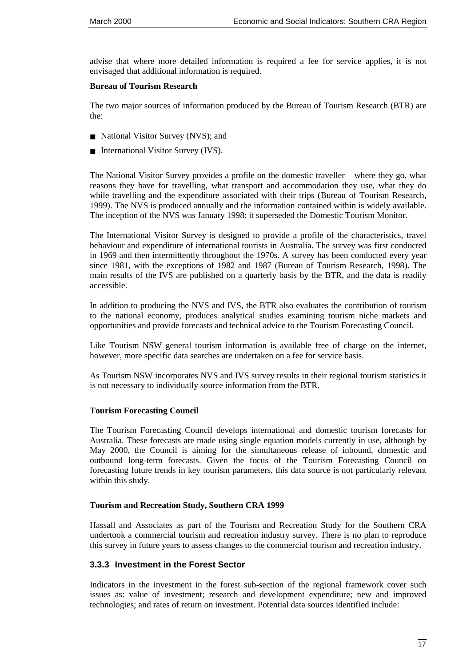advise that where more detailed information is required a fee for service applies, it is not envisaged that additional information is required.

#### **Bureau of Tourism Research**

The two major sources of information produced by the Bureau of Tourism Research (BTR) are the:

- National Visitor Survey (NVS); and
- International Visitor Survey (IVS).

The National Visitor Survey provides a profile on the domestic traveller – where they go, what reasons they have for travelling, what transport and accommodation they use, what they do while travelling and the expenditure associated with their trips (Bureau of Tourism Research, 1999). The NVS is produced annually and the information contained within is widely available. The inception of the NVS was January 1998: it superseded the Domestic Tourism Monitor.

The International Visitor Survey is designed to provide a profile of the characteristics, travel behaviour and expenditure of international tourists in Australia. The survey was first conducted in 1969 and then intermittently throughout the 1970s. A survey has been conducted every year since 1981, with the exceptions of 1982 and 1987 (Bureau of Tourism Research, 1998). The main results of the IVS are published on a quarterly basis by the BTR, and the data is readily accessible.

In addition to producing the NVS and IVS, the BTR also evaluates the contribution of tourism to the national economy, produces analytical studies examining tourism niche markets and opportunities and provide forecasts and technical advice to the Tourism Forecasting Council.

Like Tourism NSW general tourism information is available free of charge on the internet, however, more specific data searches are undertaken on a fee for service basis.

As Tourism NSW incorporates NVS and IVS survey results in their regional tourism statistics it is not necessary to individually source information from the BTR.

### **Tourism Forecasting Council**

The Tourism Forecasting Council develops international and domestic tourism forecasts for Australia. These forecasts are made using single equation models currently in use, although by May 2000, the Council is aiming for the simultaneous release of inbound, domestic and outbound long-term forecasts. Given the focus of the Tourism Forecasting Council on forecasting future trends in key tourism parameters, this data source is not particularly relevant within this study.

### **Tourism and Recreation Study, Southern CRA 1999**

Hassall and Associates as part of the Tourism and Recreation Study for the Southern CRA undertook a commercial tourism and recreation industry survey. There is no plan to reproduce this survey in future years to assess changes to the commercial tourism and recreation industry.

### **3.3.3 Investment in the Forest Sector**

Indicators in the investment in the forest sub-section of the regional framework cover such issues as: value of investment; research and development expenditure; new and improved technologies; and rates of return on investment. Potential data sources identified include: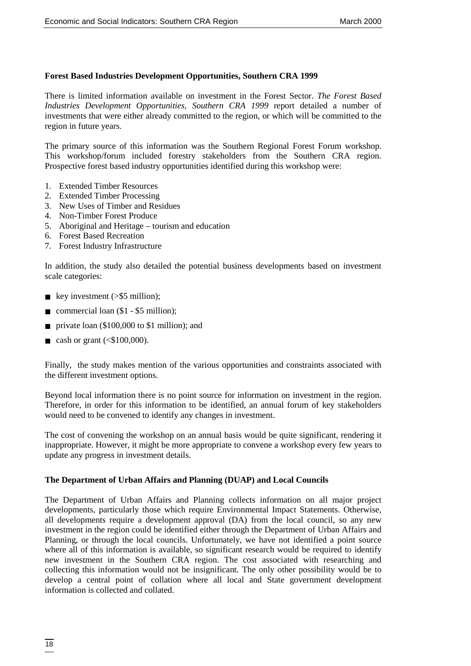#### **Forest Based Industries Development Opportunities, Southern CRA 1999**

There is limited information available on investment in the Forest Sector. *The Forest Based Industries Development Opportunities, Southern CRA 1999* report detailed a number of investments that were either already committed to the region, or which will be committed to the region in future years.

The primary source of this information was the Southern Regional Forest Forum workshop. This workshop/forum included forestry stakeholders from the Southern CRA region. Prospective forest based industry opportunities identified during this workshop were:

- 1. Extended Timber Resources
- 2. Extended Timber Processing
- 3. New Uses of Timber and Residues
- 4. Non-Timber Forest Produce
- 5. Aboriginal and Heritage tourism and education
- 6. Forest Based Recreation
- 7. Forest Industry Infrastructure

In addition, the study also detailed the potential business developments based on investment scale categories:

- key investment  $($  > \$5 million);
- commercial loan  $(\$1 \$5$  million);
- private loan (\$100,000 to \$1 million); and
- $\blacksquare$  cash or grant (<\$100,000).

Finally, the study makes mention of the various opportunities and constraints associated with the different investment options.

Beyond local information there is no point source for information on investment in the region. Therefore, in order for this information to be identified, an annual forum of key stakeholders would need to be convened to identify any changes in investment.

The cost of convening the workshop on an annual basis would be quite significant, rendering it inappropriate. However, it might be more appropriate to convene a workshop every few years to update any progress in investment details.

#### **The Department of Urban Affairs and Planning (DUAP) and Local Councils**

The Department of Urban Affairs and Planning collects information on all major project developments, particularly those which require Environmental Impact Statements. Otherwise, all developments require a development approval (DA) from the local council, so any new investment in the region could be identified either through the Department of Urban Affairs and Planning, or through the local councils. Unfortunately, we have not identified a point source where all of this information is available, so significant research would be required to identify new investment in the Southern CRA region. The cost associated with researching and collecting this information would not be insignificant. The only other possibility would be to develop a central point of collation where all local and State government development information is collected and collated.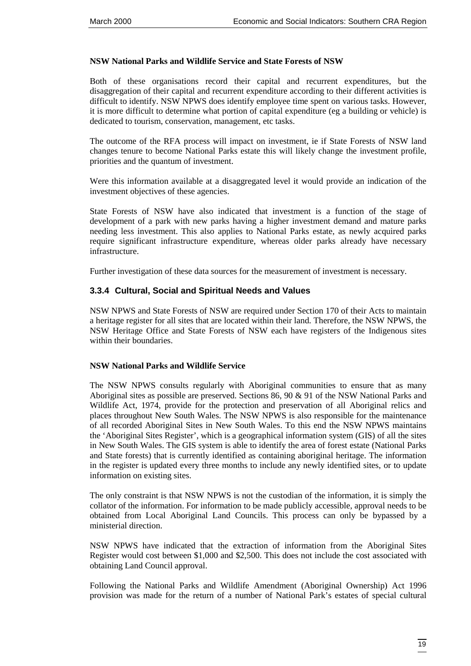#### **NSW National Parks and Wildlife Service and State Forests of NSW**

Both of these organisations record their capital and recurrent expenditures, but the disaggregation of their capital and recurrent expenditure according to their different activities is difficult to identify. NSW NPWS does identify employee time spent on various tasks. However, it is more difficult to determine what portion of capital expenditure (eg a building or vehicle) is dedicated to tourism, conservation, management, etc tasks.

The outcome of the RFA process will impact on investment, ie if State Forests of NSW land changes tenure to become National Parks estate this will likely change the investment profile, priorities and the quantum of investment.

Were this information available at a disaggregated level it would provide an indication of the investment objectives of these agencies.

State Forests of NSW have also indicated that investment is a function of the stage of development of a park with new parks having a higher investment demand and mature parks needing less investment. This also applies to National Parks estate, as newly acquired parks require significant infrastructure expenditure, whereas older parks already have necessary infrastructure.

Further investigation of these data sources for the measurement of investment is necessary.

# **3.3.4 Cultural, Social and Spiritual Needs and Values**

NSW NPWS and State Forests of NSW are required under Section 170 of their Acts to maintain a heritage register for all sites that are located within their land. Therefore, the NSW NPWS, the NSW Heritage Office and State Forests of NSW each have registers of the Indigenous sites within their boundaries.

#### **NSW National Parks and Wildlife Service**

The NSW NPWS consults regularly with Aboriginal communities to ensure that as many Aboriginal sites as possible are preserved. Sections 86, 90 & 91 of the NSW National Parks and Wildlife Act, 1974, provide for the protection and preservation of all Aboriginal relics and places throughout New South Wales. The NSW NPWS is also responsible for the maintenance of all recorded Aboriginal Sites in New South Wales. To this end the NSW NPWS maintains the 'Aboriginal Sites Register', which is a geographical information system (GIS) of all the sites in New South Wales. The GIS system is able to identify the area of forest estate (National Parks and State forests) that is currently identified as containing aboriginal heritage. The information in the register is updated every three months to include any newly identified sites, or to update information on existing sites.

The only constraint is that NSW NPWS is not the custodian of the information, it is simply the collator of the information. For information to be made publicly accessible, approval needs to be obtained from Local Aboriginal Land Councils. This process can only be bypassed by a ministerial direction.

NSW NPWS have indicated that the extraction of information from the Aboriginal Sites Register would cost between \$1,000 and \$2,500. This does not include the cost associated with obtaining Land Council approval.

Following the National Parks and Wildlife Amendment (Aboriginal Ownership) Act 1996 provision was made for the return of a number of National Park's estates of special cultural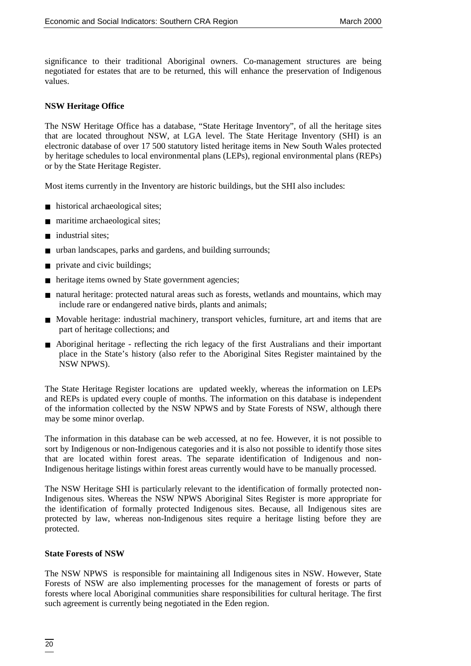significance to their traditional Aboriginal owners. Co-management structures are being negotiated for estates that are to be returned, this will enhance the preservation of Indigenous values.

#### **NSW Heritage Office**

The NSW Heritage Office has a database, "State Heritage Inventory", of all the heritage sites that are located throughout NSW, at LGA level. The State Heritage Inventory (SHI) is an electronic database of over 17 500 statutory listed heritage items in New South Wales protected by heritage schedules to local environmental plans (LEPs), regional environmental plans (REPs) or by the State Heritage Register.

Most items currently in the Inventory are historic buildings, but the SHI also includes:

- historical archaeological sites;
- maritime archaeological sites;
- industrial sites:
- urban landscapes, parks and gardens, and building surrounds;
- private and civic buildings;
- heritage items owned by State government agencies;
- natural heritage: protected natural areas such as forests, wetlands and mountains, which may include rare or endangered native birds, plants and animals;
- Movable heritage: industrial machinery, transport vehicles, furniture, art and items that are part of heritage collections; and
- Aboriginal heritage reflecting the rich legacy of the first Australians and their important place in the State's history (also refer to the Aboriginal Sites Register maintained by the NSW NPWS).

The State Heritage Register locations are updated weekly, whereas the information on LEPs and REPs is updated every couple of months. The information on this database is independent of the information collected by the NSW NPWS and by State Forests of NSW, although there may be some minor overlap.

The information in this database can be web accessed, at no fee. However, it is not possible to sort by Indigenous or non-Indigenous categories and it is also not possible to identify those sites that are located within forest areas. The separate identification of Indigenous and non-Indigenous heritage listings within forest areas currently would have to be manually processed.

The NSW Heritage SHI is particularly relevant to the identification of formally protected non-Indigenous sites. Whereas the NSW NPWS Aboriginal Sites Register is more appropriate for the identification of formally protected Indigenous sites. Because, all Indigenous sites are protected by law, whereas non-Indigenous sites require a heritage listing before they are protected.

#### **State Forests of NSW**

The NSW NPWS is responsible for maintaining all Indigenous sites in NSW. However, State Forests of NSW are also implementing processes for the management of forests or parts of forests where local Aboriginal communities share responsibilities for cultural heritage. The first such agreement is currently being negotiated in the Eden region.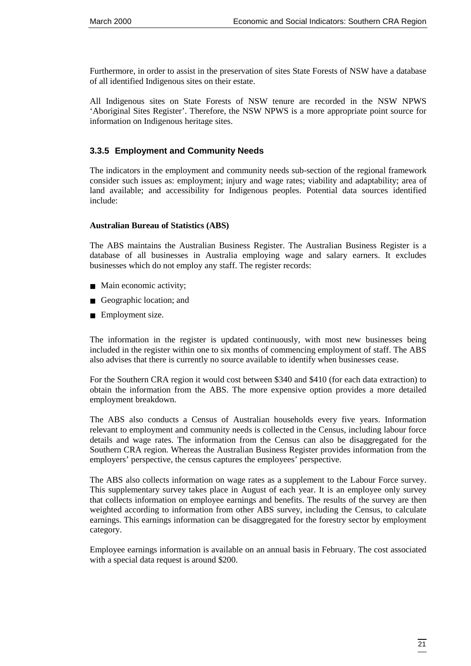Furthermore, in order to assist in the preservation of sites State Forests of NSW have a database of all identified Indigenous sites on their estate.

All Indigenous sites on State Forests of NSW tenure are recorded in the NSW NPWS 'Aboriginal Sites Register'. Therefore, the NSW NPWS is a more appropriate point source for information on Indigenous heritage sites.

#### **3.3.5 Employment and Community Needs**

The indicators in the employment and community needs sub-section of the regional framework consider such issues as: employment; injury and wage rates; viability and adaptability; area of land available; and accessibility for Indigenous peoples. Potential data sources identified include:

#### **Australian Bureau of Statistics (ABS)**

The ABS maintains the Australian Business Register. The Australian Business Register is a database of all businesses in Australia employing wage and salary earners. It excludes businesses which do not employ any staff. The register records:

- Main economic activity;
- Geographic location; and
- Employment size.

The information in the register is updated continuously, with most new businesses being included in the register within one to six months of commencing employment of staff. The ABS also advises that there is currently no source available to identify when businesses cease.

For the Southern CRA region it would cost between \$340 and \$410 (for each data extraction) to obtain the information from the ABS. The more expensive option provides a more detailed employment breakdown.

The ABS also conducts a Census of Australian households every five years. Information relevant to employment and community needs is collected in the Census, including labour force details and wage rates. The information from the Census can also be disaggregated for the Southern CRA region. Whereas the Australian Business Register provides information from the employers' perspective, the census captures the employees' perspective.

The ABS also collects information on wage rates as a supplement to the Labour Force survey. This supplementary survey takes place in August of each year. It is an employee only survey that collects information on employee earnings and benefits. The results of the survey are then weighted according to information from other ABS survey, including the Census, to calculate earnings. This earnings information can be disaggregated for the forestry sector by employment category.

Employee earnings information is available on an annual basis in February. The cost associated with a special data request is around \$200.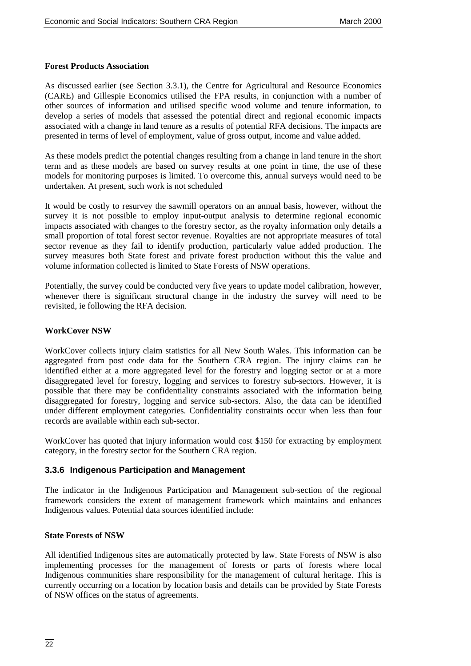#### **Forest Products Association**

As discussed earlier (see Section 3.3.1), the Centre for Agricultural and Resource Economics (CARE) and Gillespie Economics utilised the FPA results, in conjunction with a number of other sources of information and utilised specific wood volume and tenure information, to develop a series of models that assessed the potential direct and regional economic impacts associated with a change in land tenure as a results of potential RFA decisions. The impacts are presented in terms of level of employment, value of gross output, income and value added.

As these models predict the potential changes resulting from a change in land tenure in the short term and as these models are based on survey results at one point in time, the use of these models for monitoring purposes is limited. To overcome this, annual surveys would need to be undertaken. At present, such work is not scheduled

It would be costly to resurvey the sawmill operators on an annual basis, however, without the survey it is not possible to employ input-output analysis to determine regional economic impacts associated with changes to the forestry sector, as the royalty information only details a small proportion of total forest sector revenue. Royalties are not appropriate measures of total sector revenue as they fail to identify production, particularly value added production. The survey measures both State forest and private forest production without this the value and volume information collected is limited to State Forests of NSW operations.

Potentially, the survey could be conducted very five years to update model calibration, however, whenever there is significant structural change in the industry the survey will need to be revisited, ie following the RFA decision.

#### **WorkCover NSW**

WorkCover collects injury claim statistics for all New South Wales. This information can be aggregated from post code data for the Southern CRA region. The injury claims can be identified either at a more aggregated level for the forestry and logging sector or at a more disaggregated level for forestry, logging and services to forestry sub-sectors. However, it is possible that there may be confidentiality constraints associated with the information being disaggregated for forestry, logging and service sub-sectors. Also, the data can be identified under different employment categories. Confidentiality constraints occur when less than four records are available within each sub-sector.

WorkCover has quoted that injury information would cost \$150 for extracting by employment category, in the forestry sector for the Southern CRA region.

#### **3.3.6 Indigenous Participation and Management**

The indicator in the Indigenous Participation and Management sub-section of the regional framework considers the extent of management framework which maintains and enhances Indigenous values. Potential data sources identified include:

#### **State Forests of NSW**

All identified Indigenous sites are automatically protected by law. State Forests of NSW is also implementing processes for the management of forests or parts of forests where local Indigenous communities share responsibility for the management of cultural heritage. This is currently occurring on a location by location basis and details can be provided by State Forests of NSW offices on the status of agreements.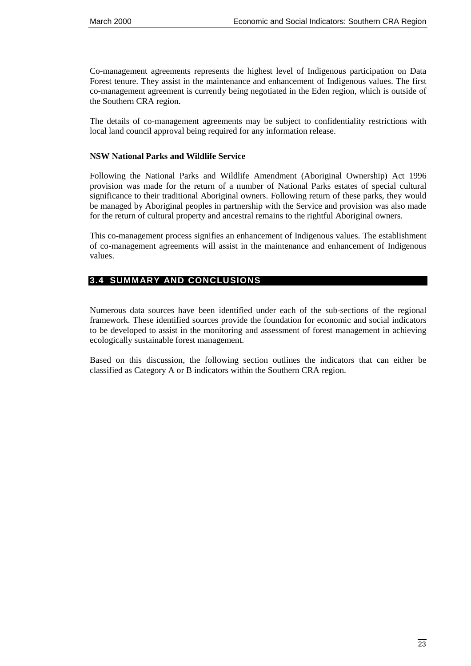<span id="page-30-0"></span>Co-management agreements represents the highest level of Indigenous participation on Data Forest tenure. They assist in the maintenance and enhancement of Indigenous values. The first co-management agreement is currently being negotiated in the Eden region, which is outside of the Southern CRA region.

The details of co-management agreements may be subject to confidentiality restrictions with local land council approval being required for any information release.

#### **NSW National Parks and Wildlife Service**

Following the National Parks and Wildlife Amendment (Aboriginal Ownership) Act 1996 provision was made for the return of a number of National Parks estates of special cultural significance to their traditional Aboriginal owners. Following return of these parks, they would be managed by Aboriginal peoples in partnership with the Service and provision was also made for the return of cultural property and ancestral remains to the rightful Aboriginal owners.

This co-management process signifies an enhancement of Indigenous values. The establishment of co-management agreements will assist in the maintenance and enhancement of Indigenous values.

# **3.4 SUMMARY AND CONCLUSIONS**

Numerous data sources have been identified under each of the sub-sections of the regional framework. These identified sources provide the foundation for economic and social indicators to be developed to assist in the monitoring and assessment of forest management in achieving ecologically sustainable forest management.

Based on this discussion, the following section outlines the indicators that can either be classified as Category A or B indicators within the Southern CRA region.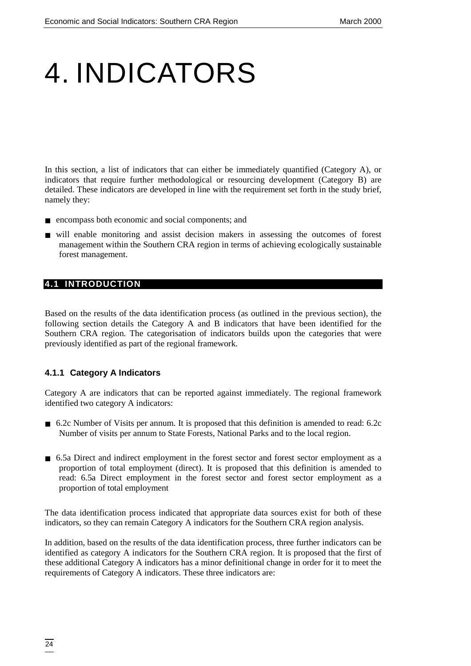# <span id="page-31-0"></span>4. INDICATORS

In this section, a list of indicators that can either be immediately quantified (Category A), or indicators that require further methodological or resourcing development (Category B) are detailed. These indicators are developed in line with the requirement set forth in the study brief, namely they:

- encompass both economic and social components; and
- will enable monitoring and assist decision makers in assessing the outcomes of forest management within the Southern CRA region in terms of achieving ecologically sustainable forest management.

# **4.1 INTRODUCTION**

Based on the results of the data identification process (as outlined in the previous section), the following section details the Category A and B indicators that have been identified for the Southern CRA region. The categorisation of indicators builds upon the categories that were previously identified as part of the regional framework.

### **4.1.1 Category A Indicators**

Category A are indicators that can be reported against immediately. The regional framework identified two category A indicators:

- 6.2c Number of Visits per annum. It is proposed that this definition is amended to read: 6.2c Number of visits per annum to State Forests, National Parks and to the local region.
- 6.5a Direct and indirect employment in the forest sector and forest sector employment as a proportion of total employment (direct). It is proposed that this definition is amended to read: 6.5a Direct employment in the forest sector and forest sector employment as a proportion of total employment

The data identification process indicated that appropriate data sources exist for both of these indicators, so they can remain Category A indicators for the Southern CRA region analysis.

In addition, based on the results of the data identification process, three further indicators can be identified as category A indicators for the Southern CRA region. It is proposed that the first of these additional Category A indicators has a minor definitional change in order for it to meet the requirements of Category A indicators. These three indicators are: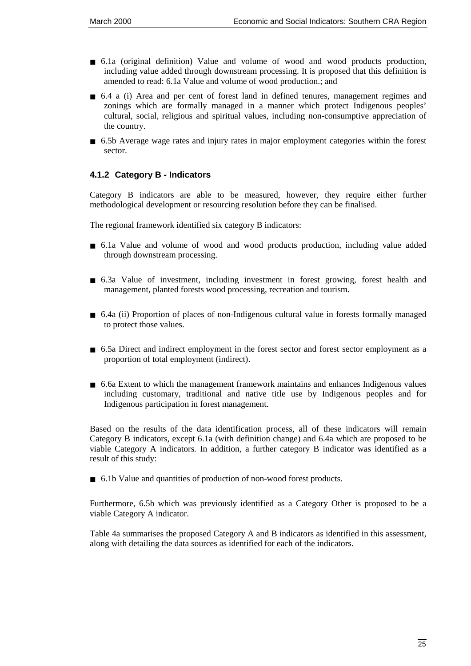- 6.1a (original definition) Value and volume of wood and wood products production, including value added through downstream processing. It is proposed that this definition is amended to read: 6.1a Value and volume of wood production.; and
- 6.4 a (i) Area and per cent of forest land in defined tenures, management regimes and zonings which are formally managed in a manner which protect Indigenous peoples' cultural, social, religious and spiritual values, including non-consumptive appreciation of the country.
- 6.5b Average wage rates and injury rates in major employment categories within the forest sector.

### **4.1.2 Category B - Indicators**

Category B indicators are able to be measured, however, they require either further methodological development or resourcing resolution before they can be finalised.

The regional framework identified six category B indicators:

- 6.1a Value and volume of wood and wood products production, including value added through downstream processing.
- 6.3a Value of investment, including investment in forest growing, forest health and management, planted forests wood processing, recreation and tourism.
- 6.4a (ii) Proportion of places of non-Indigenous cultural value in forests formally managed to protect those values.
- 6.5a Direct and indirect employment in the forest sector and forest sector employment as a proportion of total employment (indirect).
- 6.6a Extent to which the management framework maintains and enhances Indigenous values including customary, traditional and native title use by Indigenous peoples and for Indigenous participation in forest management.

Based on the results of the data identification process, all of these indicators will remain Category B indicators, except 6.1a (with definition change) and 6.4a which are proposed to be viable Category A indicators. In addition, a further category B indicator was identified as a result of this study:

■ 6.1b Value and quantities of production of non-wood forest products.

Furthermore, 6.5b which was previously identified as a Category Other is proposed to be a viable Category A indicator.

Table 4a summarises the proposed Category A and B indicators as identified in this assessment, along with detailing the data sources as identified for each of the indicators.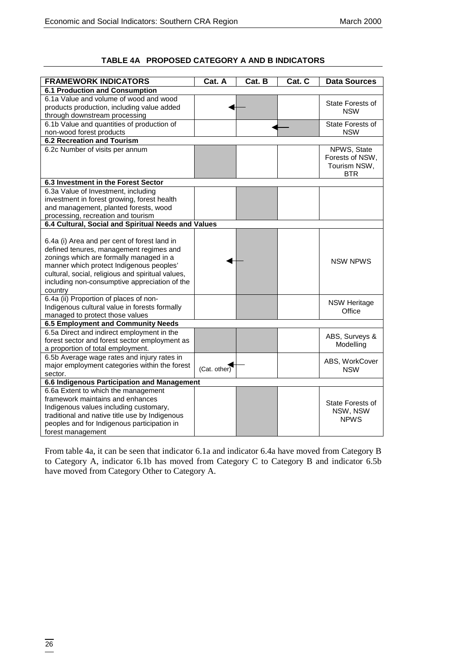**TABLE 4A PROPOSED CATEGORY A AND B INDICATORS**

| <b>FRAMEWORK INDICATORS</b><br>Cat. A<br>Cat. B<br>Cat. C                          | <b>Data Sources</b> |
|------------------------------------------------------------------------------------|---------------------|
| <b>6.1 Production and Consumption</b>                                              |                     |
| 6.1a Value and volume of wood and wood                                             |                     |
| products production, including value added                                         | State Forests of    |
| through downstream processing                                                      | <b>NSW</b>          |
| 6.1b Value and quantities of production of                                         | State Forests of    |
| non-wood forest products                                                           | <b>NSW</b>          |
| <b>6.2 Recreation and Tourism</b>                                                  |                     |
| 6.2c Number of visits per annum                                                    | NPWS, State         |
|                                                                                    | Forests of NSW,     |
|                                                                                    | Tourism NSW,        |
|                                                                                    | BTR                 |
| 6.3 Investment in the Forest Sector                                                |                     |
| 6.3a Value of Investment, including                                                |                     |
| investment in forest growing, forest health                                        |                     |
| and management, planted forests, wood                                              |                     |
| processing, recreation and tourism                                                 |                     |
| 6.4 Cultural, Social and Spiritual Needs and Values                                |                     |
|                                                                                    |                     |
| 6.4a (i) Area and per cent of forest land in                                       |                     |
| defined tenures, management regimes and                                            |                     |
| zonings which are formally managed in a                                            | <b>NSW NPWS</b>     |
| manner which protect Indigenous peoples'                                           |                     |
| cultural, social, religious and spiritual values,                                  |                     |
| including non-consumptive appreciation of the                                      |                     |
| country                                                                            |                     |
| 6.4a (ii) Proportion of places of non-                                             | <b>NSW Heritage</b> |
| Indigenous cultural value in forests formally                                      | Office              |
| managed to protect those values                                                    |                     |
| 6.5 Employment and Community Needs                                                 |                     |
| 6.5a Direct and indirect employment in the                                         | ABS, Surveys &      |
| forest sector and forest sector employment as                                      | Modelling           |
| a proportion of total employment.                                                  |                     |
| 6.5b Average wage rates and injury rates in                                        | ABS, WorkCover      |
| major employment categories within the forest<br>(Cat. other)                      | <b>NSW</b>          |
| sector.                                                                            |                     |
| 6.6 Indigenous Participation and Management<br>6.6a Extent to which the management |                     |
| framework maintains and enhances                                                   |                     |
| Indigenous values including customary,                                             | State Forests of    |
| traditional and native title use by Indigenous                                     | NSW, NSW            |
| peoples and for Indigenous participation in                                        | <b>NPWS</b>         |
| forest management                                                                  |                     |

From table 4a, it can be seen that indicator 6.1a and indicator 6.4a have moved from Category B to Category A, indicator 6.1b has moved from Category C to Category B and indicator 6.5b have moved from Category Other to Category A.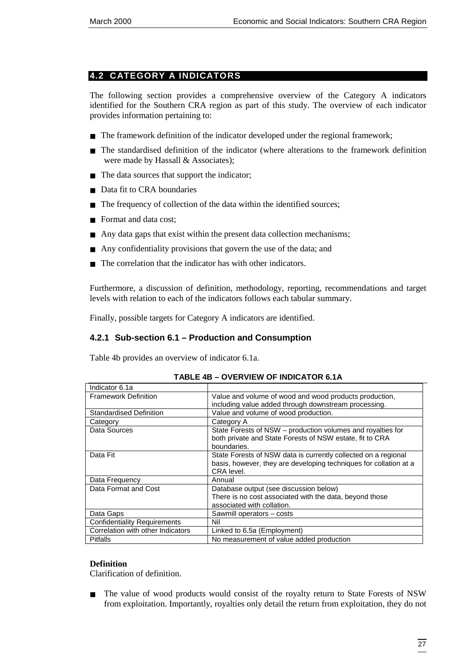# <span id="page-34-0"></span>**4.2 CATEGORY A INDICATORS**

The following section provides a comprehensive overview of the Category A indicators identified for the Southern CRA region as part of this study. The overview of each indicator provides information pertaining to:

- The framework definition of the indicator developed under the regional framework;
- The standardised definition of the indicator (where alterations to the framework definition were made by Hassall & Associates);
- The data sources that support the indicator;
- Data fit to CRA boundaries
- The frequency of collection of the data within the identified sources;
- Format and data cost:
- Any data gaps that exist within the present data collection mechanisms;
- Any confidentiality provisions that govern the use of the data; and
- The correlation that the indicator has with other indicators.

Furthermore, a discussion of definition, methodology, reporting, recommendations and target levels with relation to each of the indicators follows each tabular summary.

Finally, possible targets for Category A indicators are identified.

### **4.2.1 Sub-section 6.1 – Production and Consumption**

Table 4b provides an overview of indicator 6.1a.

| <b>Framework Definition</b>         | Value and volume of wood and wood products production,<br>including value added through downstream processing.                                    |
|-------------------------------------|---------------------------------------------------------------------------------------------------------------------------------------------------|
| <b>Standardised Definition</b>      | Value and volume of wood production.                                                                                                              |
| Category                            | Category A                                                                                                                                        |
| Data Sources                        | State Forests of NSW - production volumes and royalties for<br>both private and State Forests of NSW estate, fit to CRA<br>boundaries.            |
| Data Fit                            | State Forests of NSW data is currently collected on a regional<br>basis, however, they are developing techniques for collation at a<br>CRA level. |
| Data Frequency                      | Annual                                                                                                                                            |
| Data Format and Cost                | Database output (see discussion below)<br>There is no cost associated with the data, beyond those<br>associated with collation.                   |
| Data Gaps                           | Sawmill operators - costs                                                                                                                         |
| <b>Confidentiality Requirements</b> | Nil                                                                                                                                               |
| Correlation with other Indicators   | Linked to 6.5a (Employment)                                                                                                                       |
| <b>Pitfalls</b>                     | No measurement of value added production                                                                                                          |

#### **TABLE 4B – OVERVIEW OF INDICATOR 6.1A**

#### **Definition**

Indicator 6.1a

Clarification of definition.

■ The value of wood products would consist of the royalty return to State Forests of NSW from exploitation. Importantly, royalties only detail the return from exploitation, they do not

┯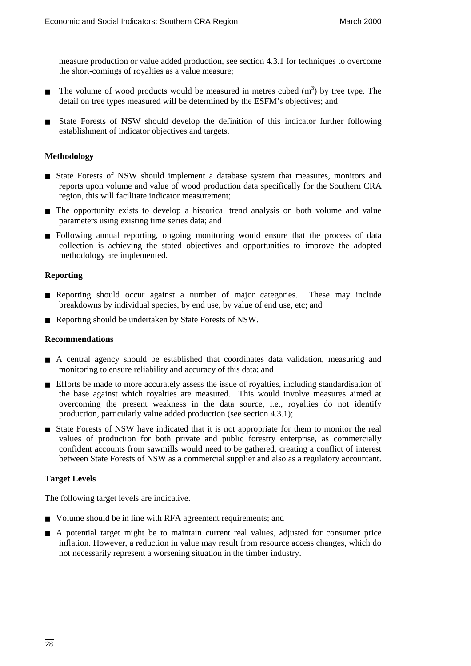measure production or value added production, see section 4.3.1 for techniques to overcome the short-comings of royalties as a value measure;

- **The volume of wood products would be measured in metres cubed**  $(m<sup>3</sup>)$  **by tree type. The** detail on tree types measured will be determined by the ESFM's objectives; and
- State Forests of NSW should develop the definition of this indicator further following establishment of indicator objectives and targets.

#### **Methodology**

- State Forests of NSW should implement a database system that measures, monitors and reports upon volume and value of wood production data specifically for the Southern CRA region, this will facilitate indicator measurement;
- The opportunity exists to develop a historical trend analysis on both volume and value parameters using existing time series data; and
- Following annual reporting, ongoing monitoring would ensure that the process of data collection is achieving the stated objectives and opportunities to improve the adopted methodology are implemented.

#### **Reporting**

- Reporting should occur against a number of major categories. These may include breakdowns by individual species, by end use, by value of end use, etc; and
- Reporting should be undertaken by State Forests of NSW.

#### **Recommendations**

- A central agency should be established that coordinates data validation, measuring and monitoring to ensure reliability and accuracy of this data; and
- Efforts be made to more accurately assess the issue of royalties, including standardisation of the base against which royalties are measured. This would involve measures aimed at overcoming the present weakness in the data source, i.e., royalties do not identify production, particularly value added production (see section 4.3.1);
- State Forests of NSW have indicated that it is not appropriate for them to monitor the real values of production for both private and public forestry enterprise, as commercially confident accounts from sawmills would need to be gathered, creating a conflict of interest between State Forests of NSW as a commercial supplier and also as a regulatory accountant.

### **Target Levels**

The following target levels are indicative.

- Volume should be in line with RFA agreement requirements; and
- A potential target might be to maintain current real values, adjusted for consumer price inflation. However, a reduction in value may result from resource access changes, which do not necessarily represent a worsening situation in the timber industry.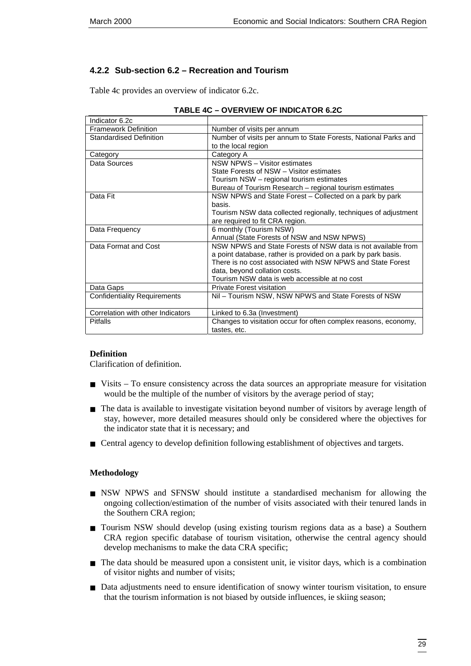# **4.2.2 Sub-section 6.2 – Recreation and Tourism**

Table 4c provides an overview of indicator 6.2c.

| Indicator 6.2c                      |                                                                 |
|-------------------------------------|-----------------------------------------------------------------|
| <b>Framework Definition</b>         | Number of visits per annum                                      |
| <b>Standardised Definition</b>      | Number of visits per annum to State Forests, National Parks and |
|                                     | to the local region                                             |
| Category                            | Category A                                                      |
| Data Sources                        | NSW NPWS - Visitor estimates                                    |
|                                     | State Forests of NSW - Visitor estimates                        |
|                                     | Tourism NSW – regional tourism estimates                        |
|                                     | Bureau of Tourism Research - regional tourism estimates         |
| Data Fit                            | NSW NPWS and State Forest - Collected on a park by park         |
|                                     | basis.                                                          |
|                                     | Tourism NSW data collected regionally, techniques of adjustment |
|                                     | are required to fit CRA region.                                 |
| Data Frequency                      | 6 monthly (Tourism NSW)                                         |
|                                     | Annual (State Forests of NSW and NSW NPWS)                      |
| Data Format and Cost                | NSW NPWS and State Forests of NSW data is not available from    |
|                                     | a point database, rather is provided on a park by park basis.   |
|                                     | There is no cost associated with NSW NPWS and State Forest      |
|                                     | data, beyond collation costs.                                   |
|                                     | Tourism NSW data is web accessible at no cost                   |
| Data Gaps                           | <b>Private Forest visitation</b>                                |
| <b>Confidentiality Requirements</b> | Nil – Tourism NSW, NSW NPWS and State Forests of NSW            |
|                                     |                                                                 |
| Correlation with other Indicators   | Linked to 6.3a (Investment)                                     |
| <b>Pitfalls</b>                     | Changes to visitation occur for often complex reasons, economy, |
|                                     | tastes, etc.                                                    |

|  | <b>TABLE 4C - OVERVIEW OF INDICATOR 6.2C</b> |
|--|----------------------------------------------|
|  |                                              |

#### **Definition**

Clarification of definition.

- Visits To ensure consistency across the data sources an appropriate measure for visitation would be the multiple of the number of visitors by the average period of stay;
- The data is available to investigate visitation beyond number of visitors by average length of stay, however, more detailed measures should only be considered where the objectives for the indicator state that it is necessary; and
- Central agency to develop definition following establishment of objectives and targets.

#### **Methodology**

- NSW NPWS and SFNSW should institute a standardised mechanism for allowing the ongoing collection/estimation of the number of visits associated with their tenured lands in the Southern CRA region;
- Tourism NSW should develop (using existing tourism regions data as a base) a Southern CRA region specific database of tourism visitation, otherwise the central agency should develop mechanisms to make the data CRA specific;
- The data should be measured upon a consistent unit, ie visitor days, which is a combination of visitor nights and number of visits;
- Data adjustments need to ensure identification of snowy winter tourism visitation, to ensure that the tourism information is not biased by outside influences, ie skiing season;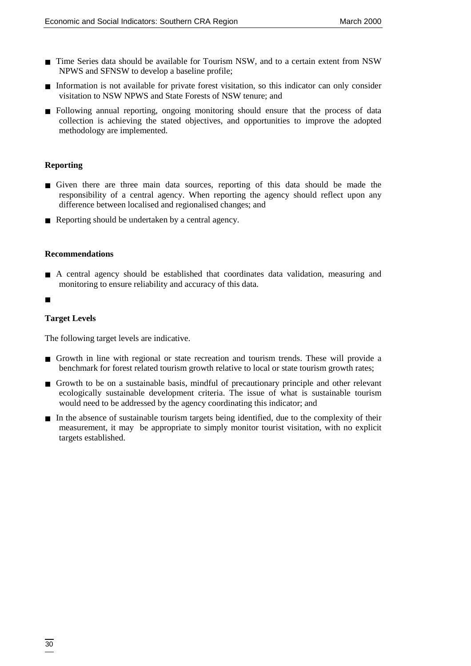- Time Series data should be available for Tourism NSW, and to a certain extent from NSW NPWS and SFNSW to develop a baseline profile;
- Information is not available for private forest visitation, so this indicator can only consider visitation to NSW NPWS and State Forests of NSW tenure; and
- Following annual reporting, ongoing monitoring should ensure that the process of data collection is achieving the stated objectives, and opportunities to improve the adopted methodology are implemented.

#### **Reporting**

- Given there are three main data sources, reporting of this data should be made the responsibility of a central agency. When reporting the agency should reflect upon any difference between localised and regionalised changes; and
- Reporting should be undertaken by a central agency.

#### **Recommendations**

- A central agency should be established that coordinates data validation, measuring and monitoring to ensure reliability and accuracy of this data.
- ■

### **Target Levels**

The following target levels are indicative.

- Growth in line with regional or state recreation and tourism trends. These will provide a benchmark for forest related tourism growth relative to local or state tourism growth rates;
- Growth to be on a sustainable basis, mindful of precautionary principle and other relevant ecologically sustainable development criteria. The issue of what is sustainable tourism would need to be addressed by the agency coordinating this indicator; and
- In the absence of sustainable tourism targets being identified, due to the complexity of their measurement, it may be appropriate to simply monitor tourist visitation, with no explicit targets established.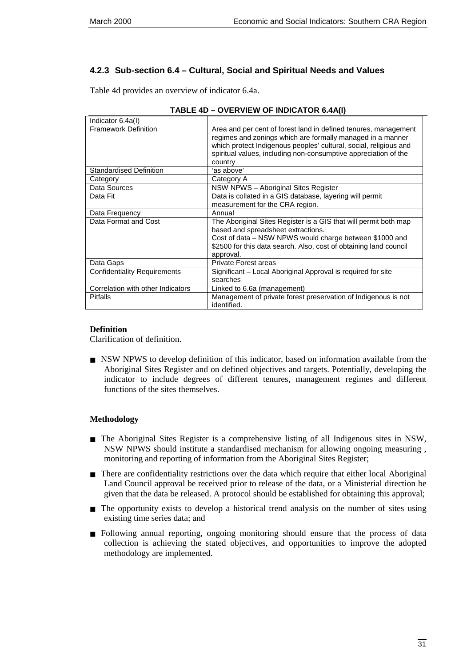# **4.2.3 Sub-section 6.4 – Cultural, Social and Spiritual Needs and Values**

Table 4d provides an overview of indicator 6.4a.

| Indicator 6.4a(I)                   |                                                                                                                                                                                                                                                                                  |
|-------------------------------------|----------------------------------------------------------------------------------------------------------------------------------------------------------------------------------------------------------------------------------------------------------------------------------|
| <b>Framework Definition</b>         | Area and per cent of forest land in defined tenures, management<br>regimes and zonings which are formally managed in a manner<br>which protect Indigenous peoples' cultural, social, religious and<br>spiritual values, including non-consumptive appreciation of the<br>country |
| Standardised Definition             | 'as above'                                                                                                                                                                                                                                                                       |
| Category                            | Category A                                                                                                                                                                                                                                                                       |
| Data Sources                        | NSW NPWS - Aboriginal Sites Register                                                                                                                                                                                                                                             |
| Data Fit                            | Data is collated in a GIS database, layering will permit<br>measurement for the CRA region.                                                                                                                                                                                      |
| Data Frequency                      | Annual                                                                                                                                                                                                                                                                           |
| Data Format and Cost                | The Aboriginal Sites Register is a GIS that will permit both map<br>based and spreadsheet extractions.<br>Cost of data – NSW NPWS would charge between \$1000 and<br>\$2500 for this data search. Also, cost of obtaining land council<br>approval.                              |
| Data Gaps                           | <b>Private Forest areas</b>                                                                                                                                                                                                                                                      |
| <b>Confidentiality Requirements</b> | Significant – Local Aboriginal Approval is required for site<br>searches                                                                                                                                                                                                         |
| Correlation with other Indicators   | Linked to 6.6a (management)                                                                                                                                                                                                                                                      |
| <b>Pitfalls</b>                     | Management of private forest preservation of Indigenous is not<br>identified.                                                                                                                                                                                                    |

#### **TABLE 4D – OVERVIEW OF INDICATOR 6.4A(I)**

#### **Definition**

Clarification of definition.

■ NSW NPWS to develop definition of this indicator, based on information available from the Aboriginal Sites Register and on defined objectives and targets. Potentially, developing the indicator to include degrees of different tenures, management regimes and different functions of the sites themselves.

#### **Methodology**

- The Aboriginal Sites Register is a comprehensive listing of all Indigenous sites in NSW, NSW NPWS should institute a standardised mechanism for allowing ongoing measuring , monitoring and reporting of information from the Aboriginal Sites Register;
- There are confidentiality restrictions over the data which require that either local Aboriginal Land Council approval be received prior to release of the data, or a Ministerial direction be given that the data be released. A protocol should be established for obtaining this approval;
- The opportunity exists to develop a historical trend analysis on the number of sites using existing time series data; and
- Following annual reporting, ongoing monitoring should ensure that the process of data collection is achieving the stated objectives, and opportunities to improve the adopted methodology are implemented.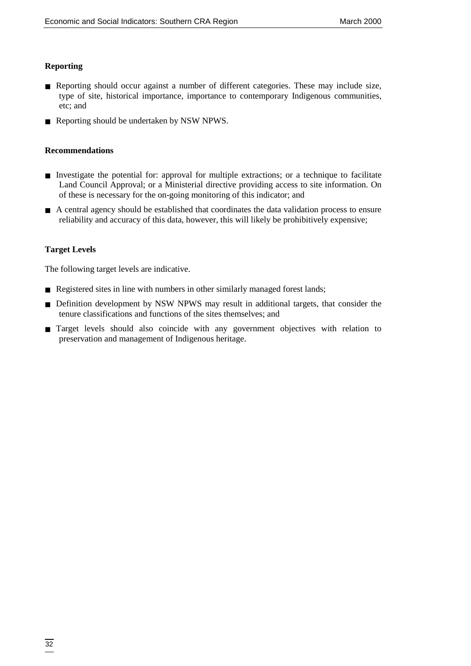#### **Reporting**

- Reporting should occur against a number of different categories. These may include size, type of site, historical importance, importance to contemporary Indigenous communities, etc; and
- Reporting should be undertaken by NSW NPWS.

#### **Recommendations**

- Investigate the potential for: approval for multiple extractions; or a technique to facilitate Land Council Approval; or a Ministerial directive providing access to site information. On of these is necessary for the on-going monitoring of this indicator; and
- A central agency should be established that coordinates the data validation process to ensure reliability and accuracy of this data, however, this will likely be prohibitively expensive;

### **Target Levels**

The following target levels are indicative.

- Registered sites in line with numbers in other similarly managed forest lands;
- Definition development by NSW NPWS may result in additional targets, that consider the tenure classifications and functions of the sites themselves; and
- Target levels should also coincide with any government objectives with relation to preservation and management of Indigenous heritage.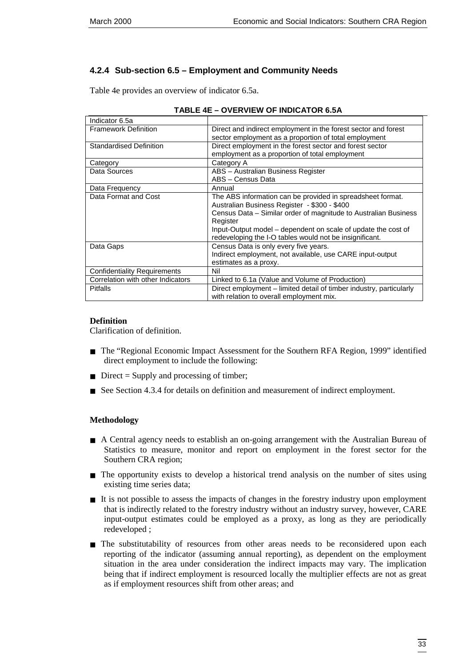# **4.2.4 Sub-section 6.5 – Employment and Community Needs**

Table 4e provides an overview of indicator 6.5a.

| Indicator 6.5a                      |                                                                     |
|-------------------------------------|---------------------------------------------------------------------|
| <b>Framework Definition</b>         | Direct and indirect employment in the forest sector and forest      |
|                                     | sector employment as a proportion of total employment               |
| Standardised Definition             | Direct employment in the forest sector and forest sector            |
|                                     | employment as a proportion of total employment                      |
| Category                            | Category A                                                          |
| Data Sources                        | ABS - Australian Business Register                                  |
|                                     | ABS - Census Data                                                   |
| Data Frequency                      | Annual                                                              |
| Data Format and Cost                | The ABS information can be provided in spreadsheet format.          |
|                                     | Australian Business Register - \$300 - \$400                        |
|                                     | Census Data – Similar order of magnitude to Australian Business     |
|                                     | Register                                                            |
|                                     | Input-Output model - dependent on scale of update the cost of       |
|                                     | redeveloping the I-O tables would not be insignificant.             |
| Data Gaps                           | Census Data is only every five years.                               |
|                                     | Indirect employment, not available, use CARE input-output           |
|                                     | estimates as a proxy.                                               |
| <b>Confidentiality Requirements</b> | Nil                                                                 |
| Correlation with other Indicators   | Linked to 6.1a (Value and Volume of Production)                     |
| <b>Pitfalls</b>                     | Direct employment – limited detail of timber industry, particularly |
|                                     | with relation to overall employment mix.                            |

#### **TABLE 4E – OVERVIEW OF INDICATOR 6.5A**

### **Definition**

Clarification of definition.

- The "Regional Economic Impact Assessment for the Southern RFA Region, 1999" identified direct employment to include the following:
- $\blacksquare$  Direct = Supply and processing of timber;
- See Section 4.3.4 for details on definition and measurement of indirect employment.

### **Methodology**

- A Central agency needs to establish an on-going arrangement with the Australian Bureau of Statistics to measure, monitor and report on employment in the forest sector for the Southern CRA region;
- The opportunity exists to develop a historical trend analysis on the number of sites using existing time series data;
- It is not possible to assess the impacts of changes in the forestry industry upon employment that is indirectly related to the forestry industry without an industry survey, however, CARE input-output estimates could be employed as a proxy, as long as they are periodically redeveloped ;
- The substitutability of resources from other areas needs to be reconsidered upon each reporting of the indicator (assuming annual reporting), as dependent on the employment situation in the area under consideration the indirect impacts may vary. The implication being that if indirect employment is resourced locally the multiplier effects are not as great as if employment resources shift from other areas; and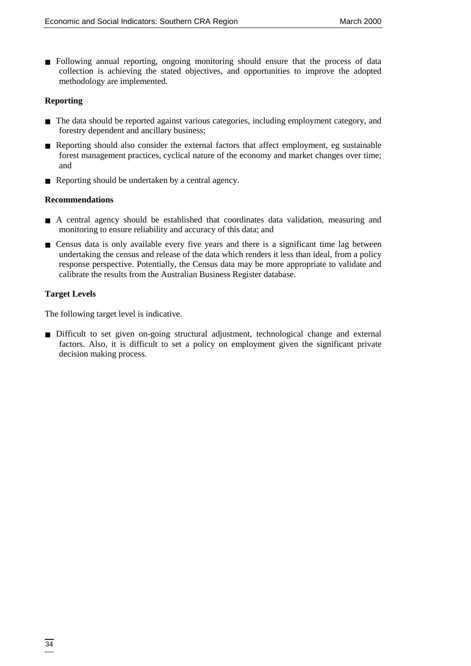■ Following annual reporting, ongoing monitoring should ensure that the process of data collection is achieving the stated objectives, and opportunities to improve the adopted methodology are implemented.

#### **Reporting**

- The data should be reported against various categories, including employment category, and forestry dependent and ancillary business;
- Reporting should also consider the external factors that affect employment, eg sustainable forest management practices, cyclical nature of the economy and market changes over time; and
- Reporting should be undertaken by a central agency.

#### **Recommendations**

- A central agency should be established that coordinates data validation, measuring and monitoring to ensure reliability and accuracy of this data; and
- Census data is only available every five years and there is a significant time lag between undertaking the census and release of the data which renders it less than ideal, from a policy response perspective. Potentially, the Census data may be more appropriate to validate and calibrate the results from the Australian Business Register database.

#### **Target Levels**

The following target level is indicative.

■ Difficult to set given on-going structural adjustment, technological change and external factors. Also, it is difficult to set a policy on employment given the significant private decision making process.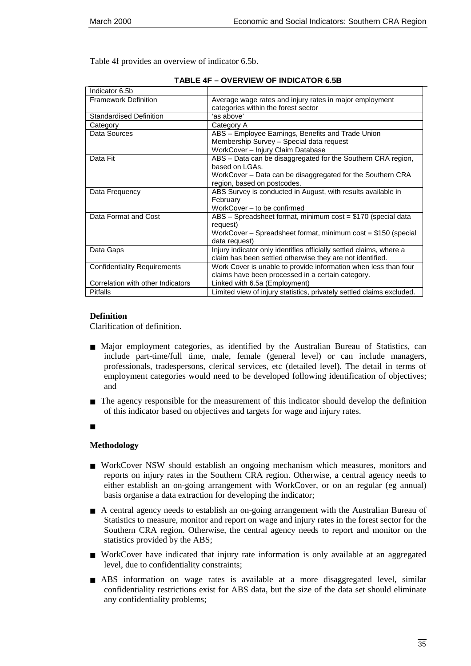Table 4f provides an overview of indicator 6.5b.

| Indicator 6.5b                      |                                                                                                                                                                             |
|-------------------------------------|-----------------------------------------------------------------------------------------------------------------------------------------------------------------------------|
| <b>Framework Definition</b>         | Average wage rates and injury rates in major employment<br>categories within the forest sector                                                                              |
| <b>Standardised Definition</b>      | 'as above'                                                                                                                                                                  |
| Category                            | Category A                                                                                                                                                                  |
| Data Sources                        | ABS - Employee Earnings, Benefits and Trade Union<br>Membership Survey - Special data request<br>WorkCover - Injury Claim Database                                          |
| Data Fit                            | ABS - Data can be disaggregated for the Southern CRA region,<br>based on LGAs.<br>WorkCover – Data can be disaggregated for the Southern CRA<br>region, based on postcodes. |
| Data Frequency                      | ABS Survey is conducted in August, with results available in<br>February<br>WorkCover – to be confirmed                                                                     |
| Data Format and Cost                | ABS - Spreadsheet format, minimum cost = \$170 (special data<br>request)<br>WorkCover - Spreadsheet format, minimum cost = \$150 (special<br>data request)                  |
| Data Gaps                           | Injury indicator only identifies officially settled claims, where a<br>claim has been settled otherwise they are not identified.                                            |
| <b>Confidentiality Requirements</b> | Work Cover is unable to provide information when less than four<br>claims have been processed in a certain category.                                                        |
| Correlation with other Indicators   | Linked with 6.5a (Employment)                                                                                                                                               |
| <b>Pitfalls</b>                     | Limited view of injury statistics, privately settled claims excluded.                                                                                                       |

|  | <b>TABLE 4F – OVERVIEW OF INDICATOR 6.5B</b> |  |  |
|--|----------------------------------------------|--|--|
|--|----------------------------------------------|--|--|

#### **Definition**

Clarification of definition.

- Major employment categories, as identified by the Australian Bureau of Statistics, can include part-time/full time, male, female (general level) or can include managers, professionals, tradespersons, clerical services, etc (detailed level). The detail in terms of employment categories would need to be developed following identification of objectives; and
- The agency responsible for the measurement of this indicator should develop the definition of this indicator based on objectives and targets for wage and injury rates.

#### **Methodology**

- WorkCover NSW should establish an ongoing mechanism which measures, monitors and reports on injury rates in the Southern CRA region. Otherwise, a central agency needs to either establish an on-going arrangement with WorkCover, or on an regular (eg annual) basis organise a data extraction for developing the indicator;
- A central agency needs to establish an on-going arrangement with the Australian Bureau of Statistics to measure, monitor and report on wage and injury rates in the forest sector for the Southern CRA region. Otherwise, the central agency needs to report and monitor on the statistics provided by the ABS;
- WorkCover have indicated that injury rate information is only available at an aggregated level, due to confidentiality constraints;
- ABS information on wage rates is available at a more disaggregated level, similar confidentiality restrictions exist for ABS data, but the size of the data set should eliminate any confidentiality problems;

<sup>■</sup>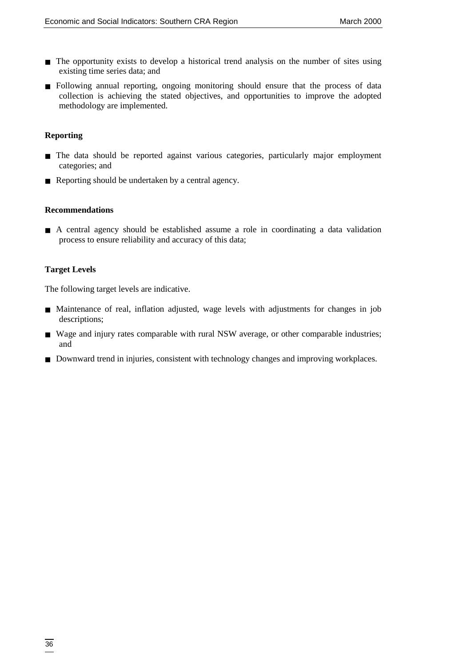- The opportunity exists to develop a historical trend analysis on the number of sites using existing time series data; and
- Following annual reporting, ongoing monitoring should ensure that the process of data collection is achieving the stated objectives, and opportunities to improve the adopted methodology are implemented.

### **Reporting**

- The data should be reported against various categories, particularly major employment categories; and
- Reporting should be undertaken by a central agency.

#### **Recommendations**

■ A central agency should be established assume a role in coordinating a data validation process to ensure reliability and accuracy of this data;

#### **Target Levels**

The following target levels are indicative.

- Maintenance of real, inflation adjusted, wage levels with adjustments for changes in job descriptions;
- Wage and injury rates comparable with rural NSW average, or other comparable industries; and
- Downward trend in injuries, consistent with technology changes and improving workplaces.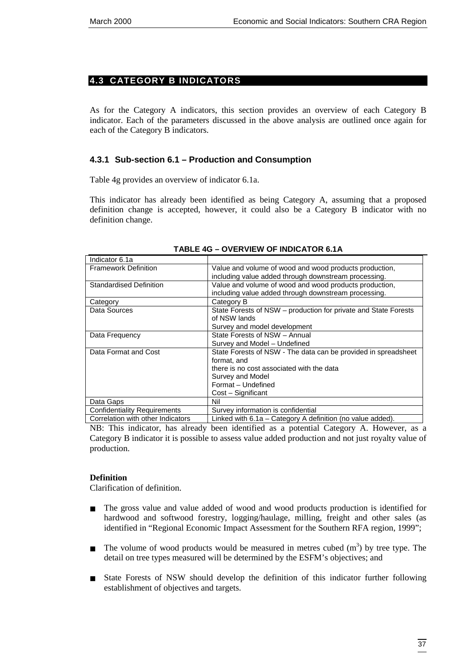### <span id="page-44-0"></span>**4.3 CATEGORY B INDICATORS**

As for the Category A indicators, this section provides an overview of each Category B indicator. Each of the parameters discussed in the above analysis are outlined once again for each of the Category B indicators.

#### **4.3.1 Sub-section 6.1 – Production and Consumption**

Table 4g provides an overview of indicator 6.1a.

This indicator has already been identified as being Category A, assuming that a proposed definition change is accepted, however, it could also be a Category B indicator with no definition change.

| Indicator 6.1a                      |                                                                                                                 |
|-------------------------------------|-----------------------------------------------------------------------------------------------------------------|
| <b>Framework Definition</b>         | Value and volume of wood and wood products production,<br>including value added through downstream processing.  |
| <b>Standardised Definition</b>      | Value and volume of wood and wood products production,<br>including value added through downstream processing.  |
| Category                            | Category B                                                                                                      |
| Data Sources                        | State Forests of NSW – production for private and State Forests<br>of NSW lands<br>Survey and model development |
| Data Frequency                      | State Forests of NSW - Annual                                                                                   |
|                                     | Survey and Model - Undefined                                                                                    |
| Data Format and Cost                | State Forests of NSW - The data can be provided in spreadsheet<br>format, and                                   |
|                                     | there is no cost associated with the data                                                                       |
|                                     | Survey and Model                                                                                                |
|                                     | Format - Undefined                                                                                              |
|                                     | Cost – Significant                                                                                              |
| Data Gaps                           | Nil                                                                                                             |
| <b>Confidentiality Requirements</b> | Survey information is confidential                                                                              |
| Correlation with other Indicators   | Linked with 6.1a - Category A definition (no value added).                                                      |

#### **TABLE 4G – OVERVIEW OF INDICATOR 6.1A**

NB: This indicator, has already been identified as a potential Category A. However, as a Category B indicator it is possible to assess value added production and not just royalty value of production.

#### **Definition**

Clarification of definition.

- The gross value and value added of wood and wood products production is identified for hardwood and softwood forestry, logging/haulage, milling, freight and other sales (as identified in "Regional Economic Impact Assessment for the Southern RFA region, 1999";
- **The volume of wood products would be measured in metres cubed**  $(m<sup>3</sup>)$  **by tree type. The** detail on tree types measured will be determined by the ESFM's objectives; and
- State Forests of NSW should develop the definition of this indicator further following establishment of objectives and targets.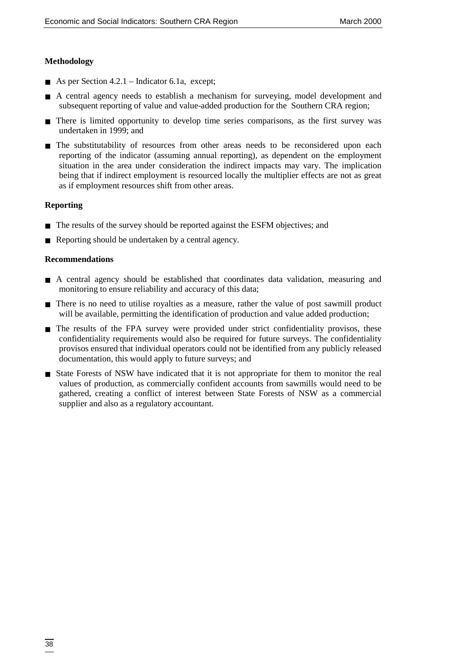#### **Methodology**

- As per Section 4.2.1 Indicator 6.1a, except;
- A central agency needs to establish a mechanism for surveying, model development and subsequent reporting of value and value-added production for the Southern CRA region;
- There is limited opportunity to develop time series comparisons, as the first survey was undertaken in 1999; and
- The substitutability of resources from other areas needs to be reconsidered upon each reporting of the indicator (assuming annual reporting), as dependent on the employment situation in the area under consideration the indirect impacts may vary. The implication being that if indirect employment is resourced locally the multiplier effects are not as great as if employment resources shift from other areas.

#### **Reporting**

- The results of the survey should be reported against the ESFM objectives; and
- Reporting should be undertaken by a central agency.

#### **Recommendations**

- A central agency should be established that coordinates data validation, measuring and monitoring to ensure reliability and accuracy of this data;
- There is no need to utilise royalties as a measure, rather the value of post sawmill product will be available, permitting the identification of production and value added production;
- The results of the FPA survey were provided under strict confidentiality provisos, these confidentiality requirements would also be required for future surveys. The confidentiality provisos ensured that individual operators could not be identified from any publicly released documentation, this would apply to future surveys; and
- State Forests of NSW have indicated that it is not appropriate for them to monitor the real values of production, as commercially confident accounts from sawmills would need to be gathered, creating a conflict of interest between State Forests of NSW as a commercial supplier and also as a regulatory accountant.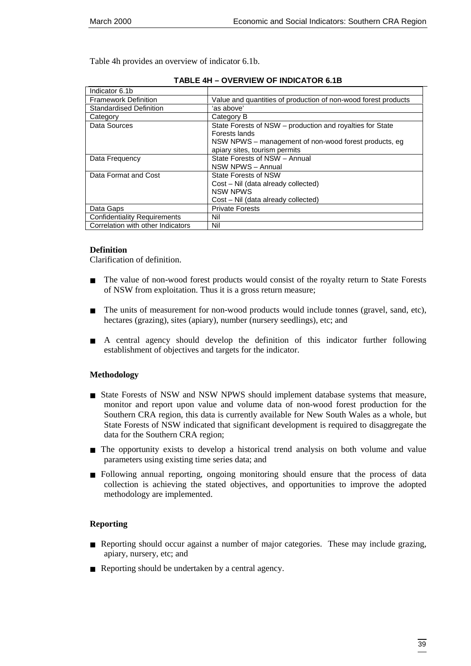Table 4h provides an overview of indicator 6.1b.

| Indicator 6.1b                      |                                                                                                                                                                      |
|-------------------------------------|----------------------------------------------------------------------------------------------------------------------------------------------------------------------|
| <b>Framework Definition</b>         | Value and quantities of production of non-wood forest products                                                                                                       |
| Standardised Definition             | 'as above'                                                                                                                                                           |
| Category                            | Category B                                                                                                                                                           |
| Data Sources                        | State Forests of NSW – production and royalties for State<br>Forests lands<br>NSW NPWS – management of non-wood forest products, eg<br>apiary sites, tourism permits |
| Data Frequency                      | State Forests of NSW - Annual<br>NSW NPWS - Annual                                                                                                                   |
| Data Format and Cost                | State Forests of NSW<br>Cost - Nil (data already collected)<br><b>NSW NPWS</b><br>Cost - Nil (data already collected)                                                |
| Data Gaps                           | <b>Private Forests</b>                                                                                                                                               |
| <b>Confidentiality Requirements</b> | Nil                                                                                                                                                                  |
| Correlation with other Indicators   | Nil                                                                                                                                                                  |

#### **TABLE 4H – OVERVIEW OF INDICATOR 6.1B**

#### **Definition**

Clarification of definition.

- The value of non-wood forest products would consist of the royalty return to State Forests of NSW from exploitation. Thus it is a gross return measure;
- The units of measurement for non-wood products would include tonnes (gravel, sand, etc), hectares (grazing), sites (apiary), number (nursery seedlings), etc; and
- A central agency should develop the definition of this indicator further following establishment of objectives and targets for the indicator.

#### **Methodology**

- State Forests of NSW and NSW NPWS should implement database systems that measure, monitor and report upon value and volume data of non-wood forest production for the Southern CRA region, this data is currently available for New South Wales as a whole, but State Forests of NSW indicated that significant development is required to disaggregate the data for the Southern CRA region;
- The opportunity exists to develop a historical trend analysis on both volume and value parameters using existing time series data; and
- Following annual reporting, ongoing monitoring should ensure that the process of data collection is achieving the stated objectives, and opportunities to improve the adopted methodology are implemented.

#### **Reporting**

- Reporting should occur against a number of major categories. These may include grazing, apiary, nursery, etc; and
- Reporting should be undertaken by a central agency.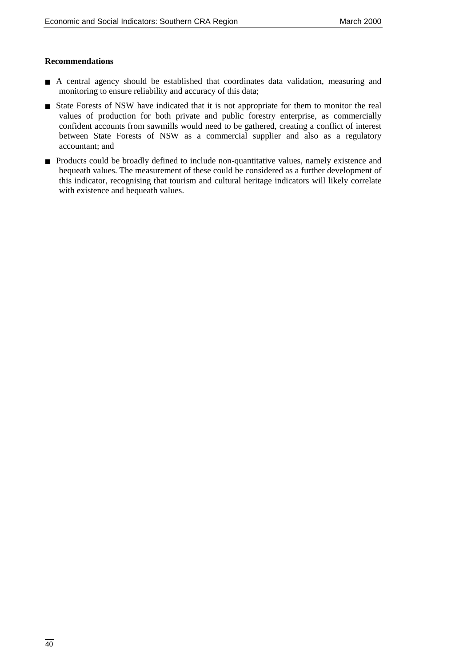#### **Recommendations**

- A central agency should be established that coordinates data validation, measuring and monitoring to ensure reliability and accuracy of this data;
- State Forests of NSW have indicated that it is not appropriate for them to monitor the real values of production for both private and public forestry enterprise, as commercially confident accounts from sawmills would need to be gathered, creating a conflict of interest between State Forests of NSW as a commercial supplier and also as a regulatory accountant; and
- Products could be broadly defined to include non-quantitative values, namely existence and bequeath values. The measurement of these could be considered as a further development of this indicator, recognising that tourism and cultural heritage indicators will likely correlate with existence and bequeath values.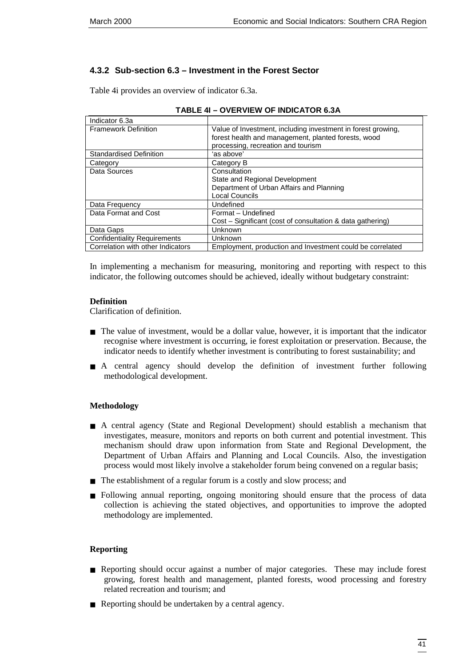# **4.3.2 Sub-section 6.3 – Investment in the Forest Sector**

Table 4i provides an overview of indicator 6.3a.

| Indicator 6.3a                      |                                                              |
|-------------------------------------|--------------------------------------------------------------|
| <b>Framework Definition</b>         | Value of Investment, including investment in forest growing, |
|                                     | forest health and management, planted forests, wood          |
|                                     | processing, recreation and tourism                           |
| <b>Standardised Definition</b>      | 'as above'                                                   |
| Category                            | Category B                                                   |
| Data Sources                        | Consultation                                                 |
|                                     | State and Regional Development                               |
|                                     | Department of Urban Affairs and Planning                     |
|                                     | Local Councils                                               |
| Data Frequency                      | Undefined                                                    |
| Data Format and Cost                | Format - Undefined                                           |
|                                     | Cost – Significant (cost of consultation & data gathering)   |
| Data Gaps                           | Unknown                                                      |
| <b>Confidentiality Requirements</b> | Unknown                                                      |
| Correlation with other Indicators   | Employment, production and Investment could be correlated    |

| <b>TABLE 4I - OVERVIEW OF INDICATOR 6.3A</b> |
|----------------------------------------------|
|----------------------------------------------|

In implementing a mechanism for measuring, monitoring and reporting with respect to this indicator, the following outcomes should be achieved, ideally without budgetary constraint:

#### **Definition**

Clarification of definition.

- The value of investment, would be a dollar value, however, it is important that the indicator recognise where investment is occurring, ie forest exploitation or preservation. Because, the indicator needs to identify whether investment is contributing to forest sustainability; and
- A central agency should develop the definition of investment further following methodological development.

#### **Methodology**

- A central agency (State and Regional Development) should establish a mechanism that investigates, measure, monitors and reports on both current and potential investment. This mechanism should draw upon information from State and Regional Development, the Department of Urban Affairs and Planning and Local Councils. Also, the investigation process would most likely involve a stakeholder forum being convened on a regular basis;
- The establishment of a regular forum is a costly and slow process; and
- Following annual reporting, ongoing monitoring should ensure that the process of data collection is achieving the stated objectives, and opportunities to improve the adopted methodology are implemented.

#### **Reporting**

- Reporting should occur against a number of major categories. These may include forest growing, forest health and management, planted forests, wood processing and forestry related recreation and tourism; and
- Reporting should be undertaken by a central agency.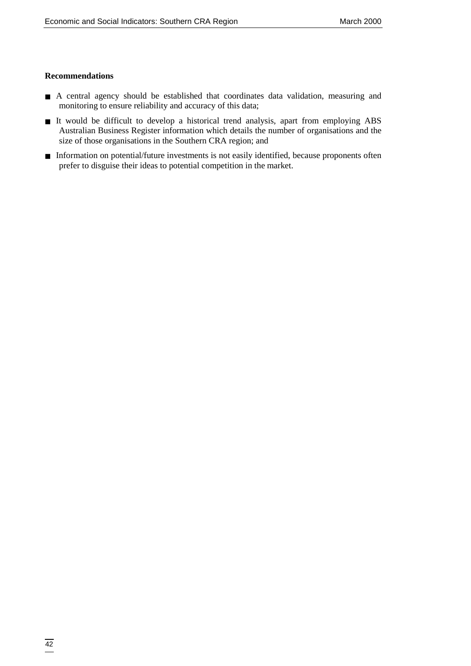#### **Recommendations**

- A central agency should be established that coordinates data validation, measuring and monitoring to ensure reliability and accuracy of this data;
- It would be difficult to develop a historical trend analysis, apart from employing ABS Australian Business Register information which details the number of organisations and the size of those organisations in the Southern CRA region; and
- Information on potential/future investments is not easily identified, because proponents often prefer to disguise their ideas to potential competition in the market.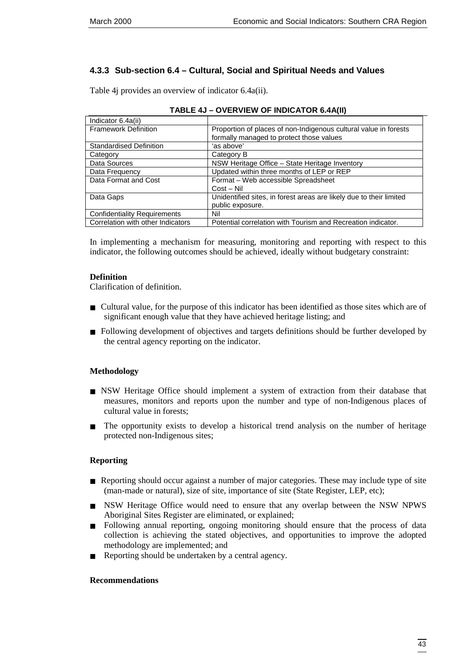# **4.3.3 Sub-section 6.4 – Cultural, Social and Spiritual Needs and Values**

Table 4j provides an overview of indicator 6.4a(ii).

| Indicator 6.4a(ii)                  |                                                                     |
|-------------------------------------|---------------------------------------------------------------------|
| <b>Framework Definition</b>         | Proportion of places of non-Indigenous cultural value in forests    |
|                                     | formally managed to protect those values                            |
| <b>Standardised Definition</b>      | 'as above'                                                          |
| Category                            | Category B                                                          |
| Data Sources                        | NSW Heritage Office - State Heritage Inventory                      |
| Data Frequency                      | Updated within three months of LEP or REP                           |
| Data Format and Cost                | Format - Web accessible Spreadsheet                                 |
|                                     | $Cost - Nil$                                                        |
| Data Gaps                           | Unidentified sites, in forest areas are likely due to their limited |
|                                     | public exposure.                                                    |
| <b>Confidentiality Requirements</b> | Nil                                                                 |
| Correlation with other Indicators   | Potential correlation with Tourism and Recreation indicator.        |

In implementing a mechanism for measuring, monitoring and reporting with respect to this indicator, the following outcomes should be achieved, ideally without budgetary constraint:

### **Definition**

Clarification of definition.

- Cultural value, for the purpose of this indicator has been identified as those sites which are of significant enough value that they have achieved heritage listing; and
- Following development of objectives and targets definitions should be further developed by the central agency reporting on the indicator.

### **Methodology**

- NSW Heritage Office should implement a system of extraction from their database that measures, monitors and reports upon the number and type of non-Indigenous places of cultural value in forests;
- The opportunity exists to develop a historical trend analysis on the number of heritage protected non-Indigenous sites;

### **Reporting**

- Reporting should occur against a number of major categories. These may include type of site (man-made or natural), size of site, importance of site (State Register, LEP, etc);
- NSW Heritage Office would need to ensure that any overlap between the NSW NPWS Aboriginal Sites Register are eliminated, or explained;
- Following annual reporting, ongoing monitoring should ensure that the process of data collection is achieving the stated objectives, and opportunities to improve the adopted methodology are implemented; and
- Reporting should be undertaken by a central agency.

### **Recommendations**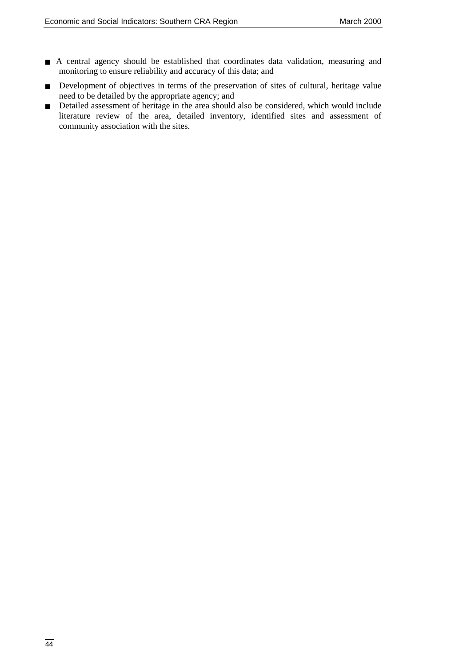- A central agency should be established that coordinates data validation, measuring and monitoring to ensure reliability and accuracy of this data; and
- Development of objectives in terms of the preservation of sites of cultural, heritage value need to be detailed by the appropriate agency; and
- Detailed assessment of heritage in the area should also be considered, which would include literature review of the area, detailed inventory, identified sites and assessment of community association with the sites.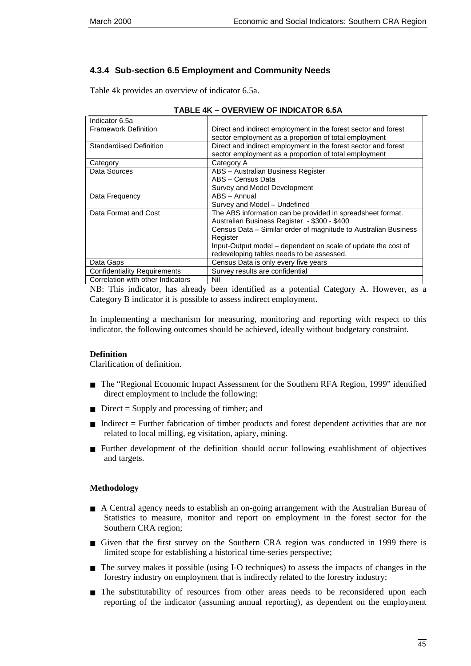# **4.3.4 Sub-section 6.5 Employment and Community Needs**

Table 4k provides an overview of indicator 6.5a.

| Indicator 6.5a                      |                                                                 |
|-------------------------------------|-----------------------------------------------------------------|
| <b>Framework Definition</b>         | Direct and indirect employment in the forest sector and forest  |
|                                     | sector employment as a proportion of total employment           |
| <b>Standardised Definition</b>      | Direct and indirect employment in the forest sector and forest  |
|                                     | sector employment as a proportion of total employment           |
| Category                            | Category A                                                      |
| Data Sources                        | ABS - Australian Business Register                              |
|                                     | ABS - Census Data                                               |
|                                     | Survey and Model Development                                    |
| Data Frequency                      | ABS - Annual                                                    |
|                                     | Survey and Model - Undefined                                    |
| Data Format and Cost                | The ABS information can be provided in spreadsheet format.      |
|                                     | Australian Business Register - \$300 - \$400                    |
|                                     | Census Data - Similar order of magnitude to Australian Business |
|                                     | Register                                                        |
|                                     | Input-Output model - dependent on scale of update the cost of   |
|                                     | redeveloping tables needs to be assessed.                       |
| Data Gaps                           | Census Data is only every five years                            |
| <b>Confidentiality Requirements</b> | Survey results are confidential                                 |
| Correlation with other Indicators   | KB 11                                                           |

#### **TABLE 4K – OVERVIEW OF INDICATOR 6.5A**

Correlation with other Indicators | Nil

NB: This indicator, has already been identified as a potential Category A. However, as a Category B indicator it is possible to assess indirect employment.

In implementing a mechanism for measuring, monitoring and reporting with respect to this indicator, the following outcomes should be achieved, ideally without budgetary constraint.

#### **Definition**

Clarification of definition.

- The "Regional Economic Impact Assessment for the Southern RFA Region, 1999" identified direct employment to include the following:
- Direct = Supply and processing of timber; and
- Indirect = Further fabrication of timber products and forest dependent activities that are not related to local milling, eg visitation, apiary, mining.
- Further development of the definition should occur following establishment of objectives and targets.

#### **Methodology**

- A Central agency needs to establish an on-going arrangement with the Australian Bureau of Statistics to measure, monitor and report on employment in the forest sector for the Southern CRA region;
- Given that the first survey on the Southern CRA region was conducted in 1999 there is limited scope for establishing a historical time-series perspective;
- The survey makes it possible (using I-O techniques) to assess the impacts of changes in the forestry industry on employment that is indirectly related to the forestry industry;
- The substitutability of resources from other areas needs to be reconsidered upon each reporting of the indicator (assuming annual reporting), as dependent on the employment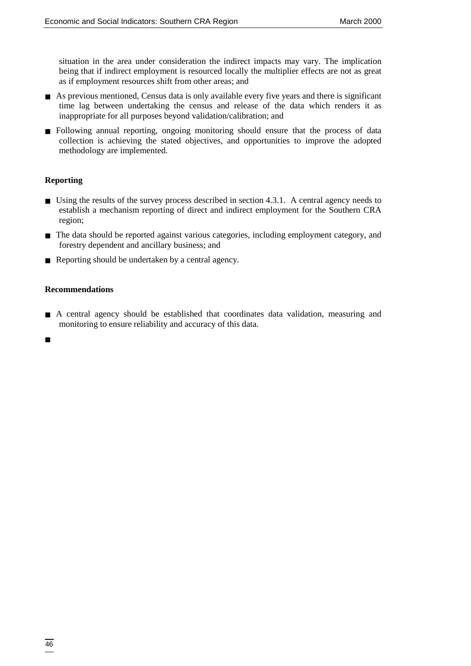situation in the area under consideration the indirect impacts may vary. The implication being that if indirect employment is resourced locally the multiplier effects are not as great as if employment resources shift from other areas; and

- As previous mentioned, Census data is only available every five years and there is significant time lag between undertaking the census and release of the data which renders it as inappropriate for all purposes beyond validation/calibration; and
- Following annual reporting, ongoing monitoring should ensure that the process of data collection is achieving the stated objectives, and opportunities to improve the adopted methodology are implemented.

### **Reporting**

- Using the results of the survey process described in section 4.3.1. A central agency needs to establish a mechanism reporting of direct and indirect employment for the Southern CRA region;
- The data should be reported against various categories, including employment category, and forestry dependent and ancillary business; and
- Reporting should be undertaken by a central agency.

#### **Recommendations**

■ A central agency should be established that coordinates data validation, measuring and monitoring to ensure reliability and accuracy of this data.

■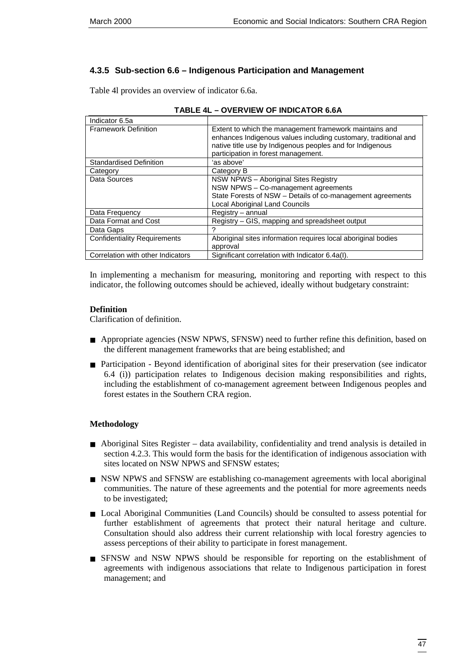# **4.3.5 Sub-section 6.6 – Indigenous Participation and Management**

Table 4l provides an overview of indicator 6.6a.

| Indicator 6.5a                      |                                                                                                                                                                                                                               |
|-------------------------------------|-------------------------------------------------------------------------------------------------------------------------------------------------------------------------------------------------------------------------------|
| <b>Framework Definition</b>         | Extent to which the management framework maintains and<br>enhances Indigenous values including customary, traditional and<br>native title use by Indigenous peoples and for Indigenous<br>participation in forest management. |
| <b>Standardised Definition</b>      | 'as above'                                                                                                                                                                                                                    |
| Category                            | Category B                                                                                                                                                                                                                    |
| Data Sources                        | NSW NPWS - Aboriginal Sites Registry<br>NSW NPWS - Co-management agreements<br>State Forests of NSW - Details of co-management agreements<br><b>Local Aboriginal Land Councils</b>                                            |
| Data Frequency                      | Registry - annual                                                                                                                                                                                                             |
| Data Format and Cost                | Registry - GIS, mapping and spreadsheet output                                                                                                                                                                                |
| Data Gaps                           |                                                                                                                                                                                                                               |
| <b>Confidentiality Requirements</b> | Aboriginal sites information requires local aboriginal bodies<br>approval                                                                                                                                                     |
| Correlation with other Indicators   | Significant correlation with Indicator 6.4a(I).                                                                                                                                                                               |

| <b>TABLE 4L - OVERVIEW OF INDICATOR 6.6A</b> |  |
|----------------------------------------------|--|
|                                              |  |

In implementing a mechanism for measuring, monitoring and reporting with respect to this indicator, the following outcomes should be achieved, ideally without budgetary constraint:

### **Definition**

Clarification of definition.

- Appropriate agencies (NSW NPWS, SFNSW) need to further refine this definition, based on the different management frameworks that are being established; and
- Participation Beyond identification of aboriginal sites for their preservation (see indicator 6.4 (i)) participation relates to Indigenous decision making responsibilities and rights, including the establishment of co-management agreement between Indigenous peoples and forest estates in the Southern CRA region.

# **Methodology**

- Aboriginal Sites Register data availability, confidentiality and trend analysis is detailed in section 4.2.3. This would form the basis for the identification of indigenous association with sites located on NSW NPWS and SFNSW estates;
- NSW NPWS and SFNSW are establishing co-management agreements with local aboriginal communities. The nature of these agreements and the potential for more agreements needs to be investigated;
- Local Aboriginal Communities (Land Councils) should be consulted to assess potential for further establishment of agreements that protect their natural heritage and culture. Consultation should also address their current relationship with local forestry agencies to assess perceptions of their ability to participate in forest management.
- SFNSW and NSW NPWS should be responsible for reporting on the establishment of agreements with indigenous associations that relate to Indigenous participation in forest management; and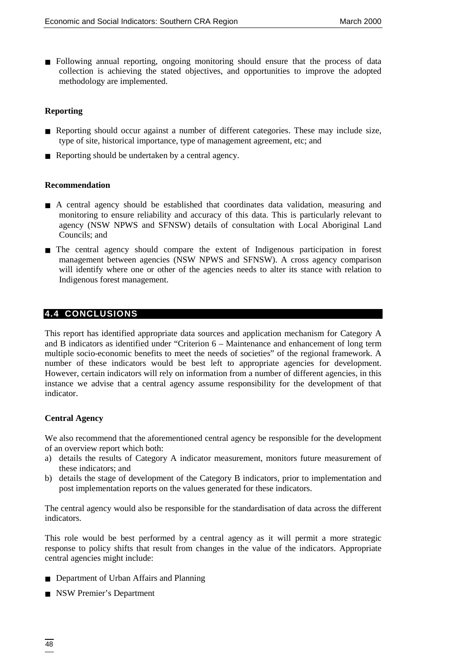<span id="page-55-0"></span>■ Following annual reporting, ongoing monitoring should ensure that the process of data collection is achieving the stated objectives, and opportunities to improve the adopted methodology are implemented.

#### **Reporting**

- Reporting should occur against a number of different categories. These may include size, type of site, historical importance, type of management agreement, etc; and
- Reporting should be undertaken by a central agency.

#### **Recommendation**

- A central agency should be established that coordinates data validation, measuring and monitoring to ensure reliability and accuracy of this data. This is particularly relevant to agency (NSW NPWS and SFNSW) details of consultation with Local Aboriginal Land Councils; and
- The central agency should compare the extent of Indigenous participation in forest management between agencies (NSW NPWS and SFNSW). A cross agency comparison will identify where one or other of the agencies needs to alter its stance with relation to Indigenous forest management.

#### **4.4 CONCLUSIONS**

This report has identified appropriate data sources and application mechanism for Category A and B indicators as identified under "Criterion 6 – Maintenance and enhancement of long term multiple socio-economic benefits to meet the needs of societies" of the regional framework. A number of these indicators would be best left to appropriate agencies for development. However, certain indicators will rely on information from a number of different agencies, in this instance we advise that a central agency assume responsibility for the development of that indicator.

#### **Central Agency**

We also recommend that the aforementioned central agency be responsible for the development of an overview report which both:

- a) details the results of Category A indicator measurement, monitors future measurement of these indicators; and
- b) details the stage of development of the Category B indicators, prior to implementation and post implementation reports on the values generated for these indicators.

The central agency would also be responsible for the standardisation of data across the different indicators.

This role would be best performed by a central agency as it will permit a more strategic response to policy shifts that result from changes in the value of the indicators. Appropriate central agencies might include:

- Department of Urban Affairs and Planning
- NSW Premier's Department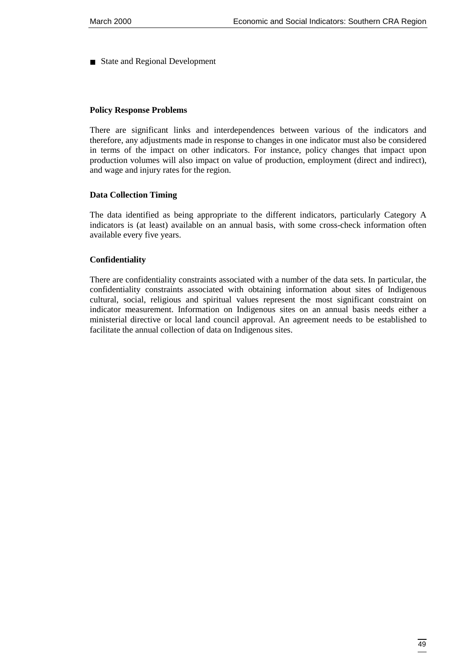■ State and Regional Development

#### **Policy Response Problems**

There are significant links and interdependences between various of the indicators and therefore, any adjustments made in response to changes in one indicator must also be considered in terms of the impact on other indicators. For instance, policy changes that impact upon production volumes will also impact on value of production, employment (direct and indirect), and wage and injury rates for the region.

#### **Data Collection Timing**

The data identified as being appropriate to the different indicators, particularly Category A indicators is (at least) available on an annual basis, with some cross-check information often available every five years.

#### **Confidentiality**

There are confidentiality constraints associated with a number of the data sets. In particular, the confidentiality constraints associated with obtaining information about sites of Indigenous cultural, social, religious and spiritual values represent the most significant constraint on indicator measurement. Information on Indigenous sites on an annual basis needs either a ministerial directive or local land council approval. An agreement needs to be established to facilitate the annual collection of data on Indigenous sites.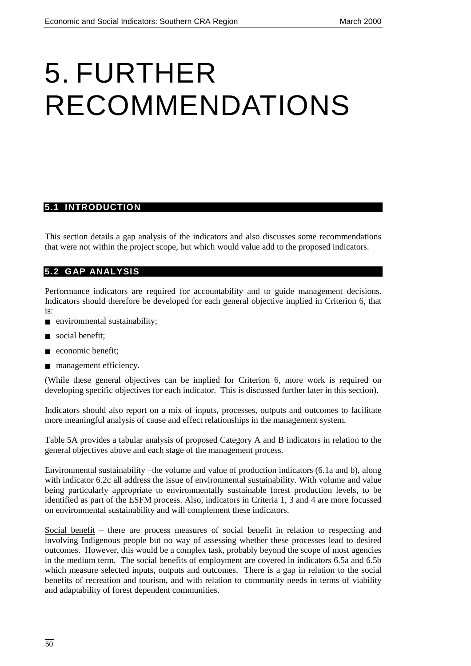# <span id="page-57-0"></span>5. FURTHER RECOMMENDATIONS

# **5.1 INTRODUCTION**

This section details a gap analysis of the indicators and also discusses some recommendations that were not within the project scope, but which would value add to the proposed indicators.

#### **5.2 GAP ANALYSIS**

Performance indicators are required for accountability and to guide management decisions. Indicators should therefore be developed for each general objective implied in Criterion 6, that is:

- environmental sustainability;
- social benefit:
- economic benefit;
- management efficiency.

(While these general objectives can be implied for Criterion 6, more work is required on developing specific objectives for each indicator. This is discussed further later in this section).

Indicators should also report on a mix of inputs, processes, outputs and outcomes to facilitate more meaningful analysis of cause and effect relationships in the management system.

Table 5A provides a tabular analysis of proposed Category A and B indicators in relation to the general objectives above and each stage of the management process.

Environmental sustainability –the volume and value of production indicators (6.1a and b), along with indicator 6.2c all address the issue of environmental sustainability. With volume and value being particularly appropriate to environmentally sustainable forest production levels, to be identified as part of the ESFM process. Also, indicators in Criteria 1, 3 and 4 are more focussed on environmental sustainability and will complement these indicators.

Social benefit – there are process measures of social benefit in relation to respecting and involving Indigenous people but no way of assessing whether these processes lead to desired outcomes. However, this would be a complex task, probably beyond the scope of most agencies in the medium term. The social benefits of employment are covered in indicators 6.5a and 6.5b which measure selected inputs, outputs and outcomes. There is a gap in relation to the social benefits of recreation and tourism, and with relation to community needs in terms of viability and adaptability of forest dependent communities.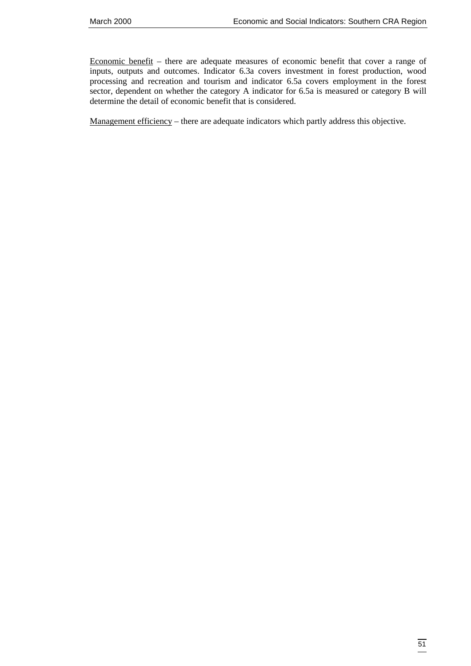Economic benefit – there are adequate measures of economic benefit that cover a range of inputs, outputs and outcomes. Indicator 6.3a covers investment in forest production, wood processing and recreation and tourism and indicator 6.5a covers employment in the forest sector, dependent on whether the category A indicator for 6.5a is measured or category B will determine the detail of economic benefit that is considered.

Management efficiency – there are adequate indicators which partly address this objective.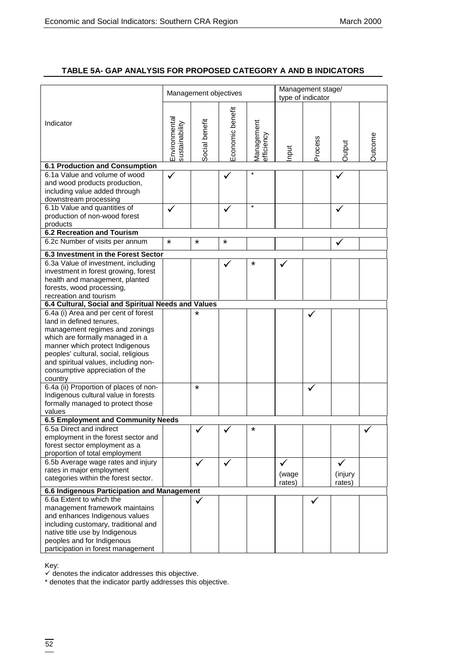# **TABLE 5A- GAP ANALYSIS FOR PROPOSED CATEGORY A AND B INDICATORS**

|                                                                                                                          |                                 | Management objectives |                  |                           |        | Management stage/<br>type of indicator |         |                |
|--------------------------------------------------------------------------------------------------------------------------|---------------------------------|-----------------------|------------------|---------------------------|--------|----------------------------------------|---------|----------------|
| Indicator                                                                                                                | Environmental<br>sustainability | Social benefit        | Economic benefit | Vlanagement<br>efficiency | nput   | Process                                | Output  | <b>Dutcome</b> |
| <b>6.1 Production and Consumption</b>                                                                                    |                                 |                       |                  |                           |        |                                        |         |                |
| 6.1a Value and volume of wood<br>and wood products production,<br>including value added through<br>downstream processing | $\checkmark$                    |                       |                  |                           |        |                                        |         |                |
| 6.1b Value and quantities of                                                                                             | ✓                               |                       | ✓                |                           |        |                                        | ✓       |                |
| production of non-wood forest                                                                                            |                                 |                       |                  |                           |        |                                        |         |                |
| products                                                                                                                 |                                 |                       |                  |                           |        |                                        |         |                |
| <b>6.2 Recreation and Tourism</b>                                                                                        |                                 |                       |                  |                           |        |                                        |         |                |
| 6.2c Number of visits per annum                                                                                          | $\star$                         | $\star$               | *                |                           |        |                                        |         |                |
| 6.3 Investment in the Forest Sector                                                                                      |                                 |                       |                  |                           |        |                                        |         |                |
| 6.3a Value of investment, including                                                                                      |                                 |                       |                  | *                         |        |                                        |         |                |
| investment in forest growing, forest                                                                                     |                                 |                       |                  |                           |        |                                        |         |                |
| health and management, planted                                                                                           |                                 |                       |                  |                           |        |                                        |         |                |
| forests, wood processing,                                                                                                |                                 |                       |                  |                           |        |                                        |         |                |
| recreation and tourism                                                                                                   |                                 |                       |                  |                           |        |                                        |         |                |
| 6.4 Cultural, Social and Spiritual Needs and Values                                                                      |                                 |                       |                  |                           |        |                                        |         |                |
| 6.4a (i) Area and per cent of forest                                                                                     |                                 | $\star$               |                  |                           |        |                                        |         |                |
| land in defined tenures,                                                                                                 |                                 |                       |                  |                           |        |                                        |         |                |
| management regimes and zonings                                                                                           |                                 |                       |                  |                           |        |                                        |         |                |
| which are formally managed in a                                                                                          |                                 |                       |                  |                           |        |                                        |         |                |
| manner which protect Indigenous                                                                                          |                                 |                       |                  |                           |        |                                        |         |                |
| peoples' cultural, social, religious                                                                                     |                                 |                       |                  |                           |        |                                        |         |                |
| and spiritual values, including non-                                                                                     |                                 |                       |                  |                           |        |                                        |         |                |
| consumptive appreciation of the<br>country                                                                               |                                 |                       |                  |                           |        |                                        |         |                |
| 6.4a (ii) Proportion of places of non-                                                                                   |                                 | $\star$               |                  |                           |        |                                        |         |                |
| Indigenous cultural value in forests                                                                                     |                                 |                       |                  |                           |        |                                        |         |                |
| formally managed to protect those                                                                                        |                                 |                       |                  |                           |        |                                        |         |                |
| values                                                                                                                   |                                 |                       |                  |                           |        |                                        |         |                |
| 6.5 Employment and Community Needs                                                                                       |                                 |                       |                  |                           |        |                                        |         |                |
| 6.5a Direct and indirect                                                                                                 |                                 |                       |                  | *                         |        |                                        |         |                |
| employment in the forest sector and                                                                                      |                                 |                       |                  |                           |        |                                        |         |                |
| forest sector employment as a                                                                                            |                                 |                       |                  |                           |        |                                        |         |                |
| proportion of total employment                                                                                           |                                 |                       |                  |                           |        |                                        |         |                |
| 6.5b Average wage rates and injury                                                                                       |                                 | ✓                     | ✓                |                           | ✓      |                                        | ✓       |                |
| rates in major employment                                                                                                |                                 |                       |                  |                           | (wage  |                                        | (injury |                |
| categories within the forest sector.                                                                                     |                                 |                       |                  |                           | rates) |                                        | rates)  |                |
| 6.6 Indigenous Participation and Management                                                                              |                                 |                       |                  |                           |        |                                        |         |                |
| 6.6a Extent to which the                                                                                                 |                                 |                       |                  |                           |        |                                        |         |                |
| management framework maintains                                                                                           |                                 |                       |                  |                           |        |                                        |         |                |
| and enhances Indigenous values                                                                                           |                                 |                       |                  |                           |        |                                        |         |                |
| including customary, traditional and                                                                                     |                                 |                       |                  |                           |        |                                        |         |                |
| native title use by Indigenous                                                                                           |                                 |                       |                  |                           |        |                                        |         |                |
| peoples and for Indigenous                                                                                               |                                 |                       |                  |                           |        |                                        |         |                |
| participation in forest management                                                                                       |                                 |                       |                  |                           |        |                                        |         |                |

Key:

 $\checkmark$  denotes the indicator addresses this objective.

\* denotes that the indicator partly addresses this objective.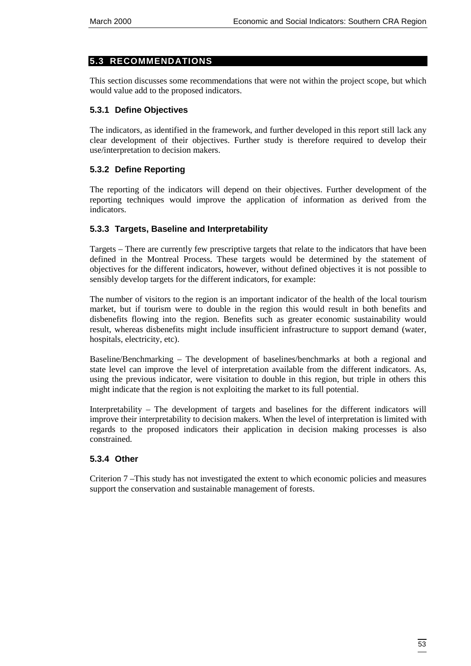# <span id="page-60-0"></span>**5.3 RECOMMENDATIONS**

This section discusses some recommendations that were not within the project scope, but which would value add to the proposed indicators.

# **5.3.1 Define Objectives**

The indicators, as identified in the framework, and further developed in this report still lack any clear development of their objectives. Further study is therefore required to develop their use/interpretation to decision makers.

# **5.3.2 Define Reporting**

The reporting of the indicators will depend on their objectives. Further development of the reporting techniques would improve the application of information as derived from the indicators.

### **5.3.3 Targets, Baseline and Interpretability**

Targets – There are currently few prescriptive targets that relate to the indicators that have been defined in the Montreal Process. These targets would be determined by the statement of objectives for the different indicators, however, without defined objectives it is not possible to sensibly develop targets for the different indicators, for example:

The number of visitors to the region is an important indicator of the health of the local tourism market, but if tourism were to double in the region this would result in both benefits and disbenefits flowing into the region. Benefits such as greater economic sustainability would result, whereas disbenefits might include insufficient infrastructure to support demand (water, hospitals, electricity, etc).

Baseline/Benchmarking – The development of baselines/benchmarks at both a regional and state level can improve the level of interpretation available from the different indicators. As, using the previous indicator, were visitation to double in this region, but triple in others this might indicate that the region is not exploiting the market to its full potential.

Interpretability – The development of targets and baselines for the different indicators will improve their interpretability to decision makers. When the level of interpretation is limited with regards to the proposed indicators their application in decision making processes is also constrained.

# **5.3.4 Other**

Criterion 7 –This study has not investigated the extent to which economic policies and measures support the conservation and sustainable management of forests.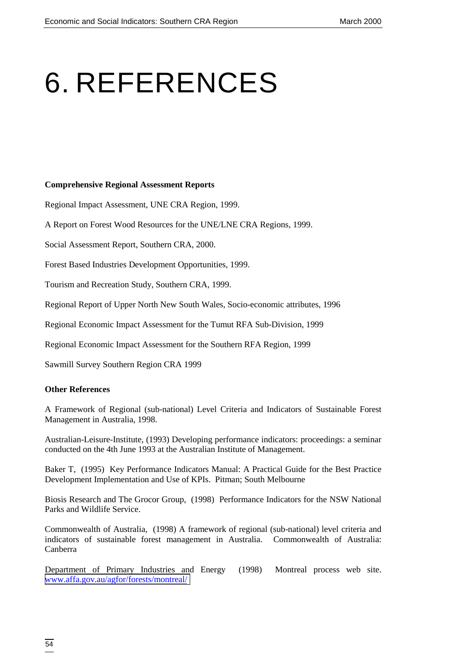# <span id="page-61-0"></span>6. REFERENCES

#### **Comprehensive Regional Assessment Reports**

Regional Impact Assessment, UNE CRA Region, 1999.

A Report on Forest Wood Resources for the UNE/LNE CRA Regions, 1999.

Social Assessment Report, Southern CRA, 2000.

Forest Based Industries Development Opportunities, 1999.

Tourism and Recreation Study, Southern CRA, 1999.

Regional Report of Upper North New South Wales, Socio-economic attributes, 1996

Regional Economic Impact Assessment for the Tumut RFA Sub-Division, 1999

Regional Economic Impact Assessment for the Southern RFA Region, 1999

Sawmill Survey Southern Region CRA 1999

### **Other References**

A Framework of Regional (sub-national) Level Criteria and Indicators of Sustainable Forest Management in Australia, 1998.

Australian-Leisure-Institute, (1993) Developing performance indicators: proceedings: a seminar conducted on the 4th June 1993 at the Australian Institute of Management.

Baker T, (1995) Key Performance Indicators Manual: A Practical Guide for the Best Practice Development Implementation and Use of KPIs. Pitman; South Melbourne

Biosis Research and The Grocor Group, (1998) Performance Indicators for the NSW National Parks and Wildlife Service.

Commonwealth of Australia, (1998) A framework of regional (sub-national) level criteria and indicators of sustainable forest management in Australia. Commonwealth of Australia: Canberra

Department of Primary Industries and Energy (1998) Montreal process web site. [www.affa.gov.au/agfor/forests/montreal/](http://www.affa.gov.au/agfor/forests/montreal/)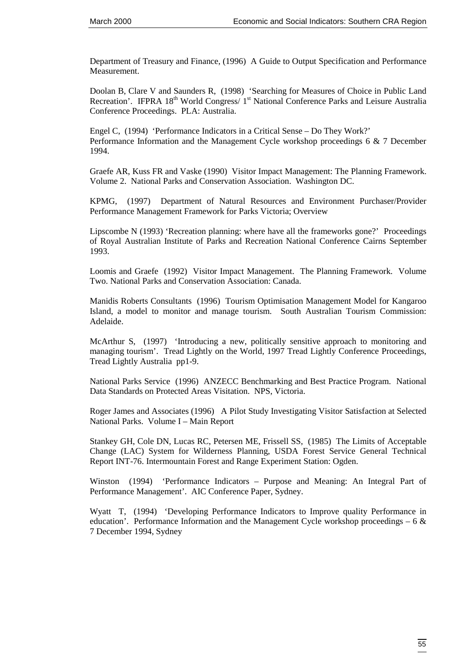Department of Treasury and Finance, (1996) A Guide to Output Specification and Performance Measurement.

Doolan B, Clare V and Saunders R, (1998) 'Searching for Measures of Choice in Public Land Recreation'. IFPRA  $18<sup>th</sup>$  World Congress/  $1<sup>st</sup>$  National Conference Parks and Leisure Australia Conference Proceedings. PLA: Australia.

Engel C, (1994) 'Performance Indicators in a Critical Sense – Do They Work?' Performance Information and the Management Cycle workshop proceedings 6 & 7 December 1994.

Graefe AR, Kuss FR and Vaske (1990) Visitor Impact Management: The Planning Framework. Volume 2. National Parks and Conservation Association. Washington DC.

KPMG, (1997) Department of Natural Resources and Environment Purchaser/Provider Performance Management Framework for Parks Victoria; Overview

Lipscombe N (1993) 'Recreation planning: where have all the frameworks gone?' Proceedings of Royal Australian Institute of Parks and Recreation National Conference Cairns September 1993.

Loomis and Graefe (1992) Visitor Impact Management. The Planning Framework. Volume Two. National Parks and Conservation Association: Canada.

Manidis Roberts Consultants (1996) Tourism Optimisation Management Model for Kangaroo Island, a model to monitor and manage tourism. South Australian Tourism Commission: Adelaide.

McArthur S, (1997) 'Introducing a new, politically sensitive approach to monitoring and managing tourism'. Tread Lightly on the World, 1997 Tread Lightly Conference Proceedings, Tread Lightly Australia pp1-9.

National Parks Service (1996) ANZECC Benchmarking and Best Practice Program. National Data Standards on Protected Areas Visitation. NPS, Victoria.

Roger James and Associates (1996) A Pilot Study Investigating Visitor Satisfaction at Selected National Parks. Volume I – Main Report

Stankey GH, Cole DN, Lucas RC, Petersen ME, Frissell SS, (1985) The Limits of Acceptable Change (LAC) System for Wilderness Planning, USDA Forest Service General Technical Report INT-76. Intermountain Forest and Range Experiment Station: Ogden.

Winston (1994) 'Performance Indicators – Purpose and Meaning: An Integral Part of Performance Management'. AIC Conference Paper, Sydney.

Wyatt T, (1994) 'Developing Performance Indicators to Improve quality Performance in education'. Performance Information and the Management Cycle workshop proceedings – 6  $\&$ 7 December 1994, Sydney